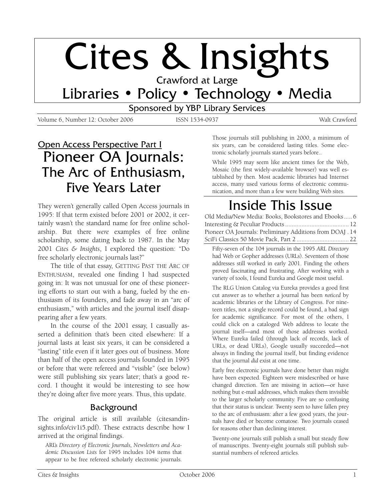# Cites & Insights

Libraries • Policy • Technology • Media

Sponsored by YBP Library Services

Volume 6, Number 12: October 2006 ISSN 1534-0937 Walt Crawford

# Open Access Perspective Part I Pioneer OA Journals: The Arc of Enthusiasm, Five Years Later

They weren't generally called Open Access journals in 1995: If that term existed before 2001 or 2002, it certainly wasn't the standard name for free online scholarship. But there *were* examples of free online scholarship, some dating back to 1987. In the May 2001 *Cites & Insights*, I explored the question: "Do free scholarly electronic journals last?"

The title of that essay, GETTING PAST THE ARC OF ENTHUSIASM, revealed one finding I had suspected going in: It was not unusual for one of these pioneering efforts to start out with a bang, fueled by the enthusiasm of its founders, and fade away in an "arc of enthusiasm," with articles and the journal itself disappearing after a few years.

In the course of the 2001 essay, I casually asserted a definition that's been cited elsewhere: If a journal lasts at least six years, it can be considered a "lasting" title even if it later goes out of business. More than half of the open access journals founded in 1995 or before that were refereed and "visible" (see below) were still publishing six years later; that's a good record. I thought it would be interesting to see how they're doing after five more years. Thus, this update.

## Background

The original article is still available (citesandinsights.info/civ1i5.pdf). These extracts describe how I arrived at the original findings.

ARL's *Directory of Electronic Journals, Newsletters and Academic Discussion Lists* for 1995 includes 104 items that appear to be free refereed scholarly electronic journals.

Those journals still publishing in 2000, a minimum of six years, can be considered lasting titles. Some electronic scholarly journals started years before..

While 1995 may seem like ancient times for the Web, Mosaic (the first widely-available browser) was well established by then. Most academic libraries had Internet access, many used various forms of electronic communication, and more than a few were building Web sites.

# Inside This Issue

Old Media/New Media: Books, Bookstores and Ebooks..... 6 Interesting & Peculiar Products ....................................... 12 Pioneer OA Journals: Preliminary Additions from DOAJ . 14 SciFi Classics 50 Movie Pack, Part 2 ................................ 22

Fifty-seven of the 104 journals in the 1995 *ARL Directory* had Web or Gopher addresses (URLs). Seventeen of those addresses still worked in early 2001. Finding the others proved fascinating and frustrating. After working with a variety of tools, I found Eureka and Google most useful.

The RLG Union Catalog via Eureka provides a good first cut answer as to whether a journal has been *noticed* by academic libraries or the Library of Congress. For nineteen titles, not a single record could be found, a bad sign for academic significance. For most of the others, I could click on a cataloged Web address to locate the journal itself—and most of those addresses worked. Where Eureka failed (through lack of records, lack of URLs, or dead URLs), Google usually succeeded—not always in finding the journal itself, but finding evidence that the journal *did* exist at one time.

Early free electronic journals have done better than might have been expected. Eighteen were misdescribed or have changed direction. Ten are missing in action—or have nothing but e-mail addresses, which makes them invisible to the larger scholarly community. Five are so confusing that their status is unclear. Twenty seen to have fallen prey to the arc of enthusiasm: after a few good years, the journals have died or become comatose. Two journals ceased for reasons other than declining interest.

Twenty-one journals still publish a small but steady flow of manuscripts. Twenty-eight journals still publish substantial numbers of refereed articles.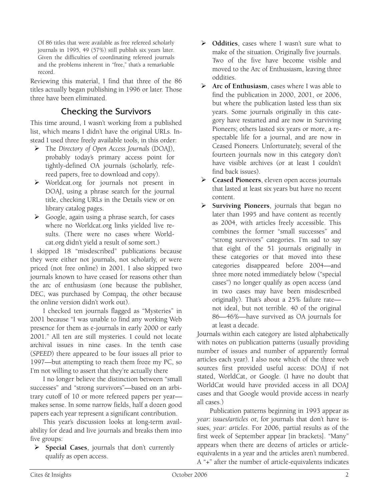Of 86 titles that were available as free refereed scholarly journals in 1995, 49 (57%) still publish six years later. Given the difficulties of coordinating refereed journals and the problems inherent in "free," that's a remarkable record.

Reviewing this material, I find that three of the 86 titles actually began publishing in 1996 or later. Those three have been eliminated.

# Checking the Survivors

This time around, I wasn't working from a published list, which means I didn't have the original URLs. Instead I used three freely available tools, in this order:

- ¾ The *Directory of Open Access Journals* (DOAJ), probably today's primary access point for tightly-defined OA journals (scholarly, refereed papers, free to download and copy).
- ¾ Worldcat.org for journals not present in DOAJ, using a phrase search for the journal title, checking URLs in the Details view or on library catalog pages.
- $\triangleright$  Google, again using a phrase search, for cases where no Worldcat.org links yielded live results. (There were no cases where Worldcat.org didn't yield a result of some sort.)

I skipped 18 "misdescribed" publications because they were either not journals, not scholarly, or were priced (not free online) in 2001. I also skipped two journals known to have ceased for reasons other than the arc of enthusiasm (one because the publisher, DEC, was purchased by Compaq, the other because the online version didn't work out).

I checked ten journals flagged as "Mysteries" in 2001 because "I was unable to find any working Web presence for them as e-journals in early 2000 or early 2001." All ten are still mysteries. I could not locate archival issues in nine cases. In the tenth case (*SPEED*) there appeared to be four issues all prior to 1997—but attempting to reach them froze my PC, so I'm not willing to assert that they're actually there

I no longer believe the distinction between "small successes" and "strong survivors"—based on an arbitrary cutoff of 10 or more refereed papers per year makes sense. In some narrow fields, half a dozen good papers each year represent a significant contribution.

This year's discussion looks at long-term availability for dead and live journals and breaks them into five groups:

¾ **Special Cases**, journals that don't currently qualify as open access.

- ¾ **Oddities**, cases where I wasn't sure what to make of the situation. Originally five journals. Two of the five have become visible and moved to the Arc of Enthusiasm, leaving three oddities.
- ¾ **Arc of Enthusiasm**, cases where I was able to find the publication in 2000, 2001, or 2006, but where the publication lasted less than six years. Some journals originally in this category have restarted and are now in Surviving Pioneers; others lasted six years or more, a respectable life for a journal, and are now in Ceased Pioneers. Unfortunately, several of the fourteen journals now in this category don't have visible archives (or at least I couldn't find back issues).
- ¾ **Ceased Pioneers**, eleven open access journals that lasted at least six years but have no recent content.
- ¾ **Surviving Pioneers**, journals that began no later than 1995 and have content as recently as 2004, with articles freely accessible. This combines the former "small successes" and "strong survivors" categories. I'm sad to say that eight of the 51 journals originally in these categories or that moved into these categories disappeared before 2004—and three more noted immediately below ("special cases") no longer qualify as open access (and in two cases may have been misdescribed originally). That's about a 25% failure rate not ideal, but not terrible. 40 of the original 86—46%—have survived as OA journals for at least a decade.

Journals within each category are listed alphabetically with notes on publication patterns (usually providing number of issues and number of apparently formal articles each year). I also note which of the three web sources first provided useful access: DOAJ if not stated, WorldCat, or Google. (I have no doubt that WorldCat would have provided access in all DOAJ cases and that Google would provide access in nearly all cases.)

Publication patterns beginning in 1993 appear as *year: issues/articles* or, for journals that don't have issues, *year: articles*. For 2006, partial results as of the first week of September appear [in brackets]. "Many" appears when there are dozens of articles or articleequivalents in a year and the articles aren't numbered. A "+" after the number of article-equivalents indicates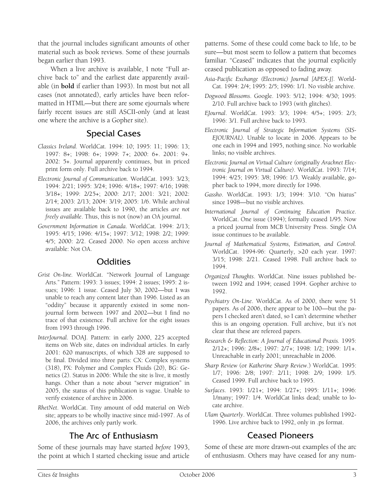that the journal includes significant amounts of other material such as book reviews. Some of these journals began earlier than 1993.

When a live archive is available, I note "Full archive back to" and the earliest date apparently available (in **bold** if earlier than 1993). In most but not all cases (not annotated), early articles have been reformatted in HTML—but there are some ejournals where fairly recent issues are still ASCII-only (and at least one where the archive is a Gopher site).

# Special Cases

- *Classics Ireland*. WorldCat. 1994: 10; 1995: 11; 1996: 13; 1997: 8+; 1998: 6+; 1999: 7+; 2000: 6+. 2001: 9+. 2002: 5+. Journal apparently continues, but in priced print form only. Full archive back to 1994.
- *Electronic Journal of Communication*. WorldCat. 1993: 3/23; 1994: 2/21; 1995: 3/24; 1996: 4/18+; 1997: 4/16; 1998: 3/18+; 1999: 2/25+; 2000: 2/17; 2001: 3/21; 2002: 2/14; 2003: 2/13; 2004: 3/19; 2005: 1/6. While archival issues are available back to 1990, the articles *are not freely available*. Thus, this is not (now) an OA journal.
- *Government Information in Canada*. WorldCat. 1994: 2/13; 1995: 4/15; 1996: 4/15+; 1997: 3/12; 1998: 2/2; 1999: 4/5; 2000: 2/2. Ceased 2000. No open access archive available: Not OA.

## **Oddities**

- *Grist On-line.* WorldCat. "Network Journal of Language Arts." Pattern: 1993: 3 issues; 1994: 2 issues; 1995: 2 issues; 1996: 1 issue. Ceased July 30, 2002—but I was unable to reach any content later than 1996. Listed as an "oddity" because it apparently existed in some nonjournal form between 1997 and 2002—but I find no trace of that existence. Full archive for the eight issues from 1993 through 1996.
- *InterJournal*. DOAJ. Pattern: in early 2000, 225 accepted items on Web site, dates on individual articles. In early 2001: 620 manuscripts, of which 328 are supposed to be final. Divided into three parts: CX: Complex systems (318), PX: Polymer and Complex Fluids (20), BG: Genetics (2). Status in 2006: While the site is live, it mostly hangs. Other than a note about "server migration" in 2005, the status of this publication is vague. Unable to verify existence of archive in 2006.
- *RhetNet*. WorldCat. Tiny amount of odd material on Web site; appears to be wholly inactive since mid-1997. As of 2006, the archives only partly work.

# The Arc of Enthusiasm

Some of these journals may have started *before* 1993, the point at which I started checking issue and article patterns. Some of these could come back to life, to be sure—but most seem to follow a pattern that becomes familiar. "Ceased" indicates that the journal explicitly ceased publication as opposed to fading away.

- *Asia-Pacific Exchange (Electronic) Journal [APEX-J].* World-Cat. 1994: 2/4; 1995: 2/5; 1996: 1/1. No visible archive.
- *Dogwood Blossoms*. Google. 1993: 5/12; 1994: 4/30; 1995: 2/10. Full archive back to 1993 (with glitches).
- *EJournal*. WorldCat. 1993: 3/3; 1994: 4/5+; 1995: 2/3; 1996: 3/1. Full archive back to 1993.
- *Electronic Journal of Strategic Information Systems (SIS-EJOURNAL).* Unable to locate in 2006. Appears to be one each in 1994 and 1995, nothing since. No workable links; no visible archives.
- *Electronic Journal on Virtual Culture (*originally *Arachnet Electronic Journal on Virtual Culture)*. WorldCat. 1993: 7/14; 1994: 4/25; 1995: 3/8; 1996: 1/3. Weakly available, gopher back to 1994, more directly for 1996.
- *Gassho*. WorldCat. 1993: 1/3; 1994: 3/10. "On hiatus" since 1998—but no visible archives.
- *International Journal of Continuing Education Practice*. WorldCat. One issue (1994); formally ceased 1/95. Now a priced journal from MCB University Press. Single OA issue continues to be available.
- *Journal of Mathematical Systems, Estimation, and Control.* WorldCat. 1994-96: Quarterly, >20 each year. 1997: 3/15; 1998: 2/21. Ceased 1998. Full archive back to 1994.
- *Organized Thoughts*. WorldCat. Nine issues published between 1992 and 1994; ceased 1994. Gopher archive to 1992.
- *Psychiatry On-Line*. WorldCat. As of 2000, there were 51 papers. As of 2006, there appear to be 100—but the papers I checked aren't dated, so I can't determine whether this is an ongoing operation. Full archive, but it's not clear that these are refereed papers.
- *Research & Reflection: A Journal of Educational Praxis.* 1995: 2/12+; 1996: 2/8+; 1997: 2/7+; 1998: 1/2; 1999: 1/1+. Unreachable in early 2001; unreachable in 2006.
- *Sharp Review* (or *Katherine Sharp Review*.) WorldCat. 1995: 1/7; 1996: 2/8; 1997: 2/11; 1998: 2/9; 1999: 1/5. Ceased 1999. Full archive back to 1995.
- *Surfaces*. 1993: 1/21+; 1994: 1/27+; 1995: 1/11+; 1996: 1/many; 1997: 1/4. WorldCat links dead; unable to locate archive.
- *Ulam Quarterly*. WorldCat. Three volumes published 1992- 1996. Live archive back to 1992, only in .ps format.

# Ceased Pioneers

Some of these are more drawn-out examples of the arc of enthusiasm. Others may have ceased for any num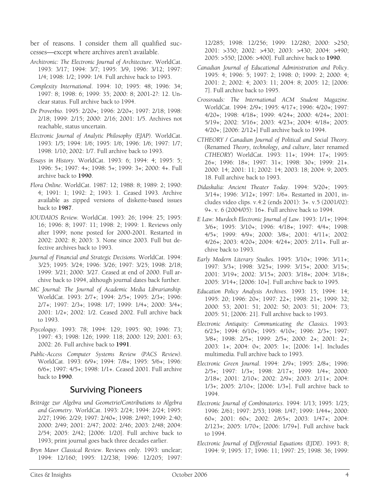ber of reasons. I consider them all qualified successes—except where archives aren't available.

- *Architronic: The Electronic Journal of Architecture*. WorldCat. 1993: 3/17; 1994: 3/7; 1995: 3/9, 1996: 3/12; 1997: 1/4; 1998: 1/2; 1999: 1/4. Full archive back to 1993.
- *Complexity International*. 1994: 10; 1995: 48; 1996: 34; 1997: 8; 1998: 6; 1999: 35; 2000: 8; 2001-2?: 12. Unclear status. Full archive back to 1994.
- *De Proverbio*. 1995: 2/20+; 1996: 2/20+; 1997: 2/18; 1998: 2/18; 1999: 2/15; 2000: 2/16; 2001: 1/5. Archives not reachable, status uncertain.
- *Electronic Journal of Analytic Philosophy (EJAP).* WorldCat. 1993: 1/5; 1994: 1/6; 1995: 1/6; 1996: 1/6; 1997: 1/7; 1998: 1/10; 2002: 1/7. Full archive back to 1993.
- *Essays in History*. WorldCat. 1993: 6; 1994: 4; 1995: 5; 1996: 5+; 1997: 4+; 1998: 5+; 1999: 3+; 2000: 4+. Full archive back to **1990**.
- *Flora Online*. WorldCat. 1987: 12; 1988: 8; 1989: 2; 1990: 4; 1991: 1; 1992: 2; 1993: 1. Ceased 1993. Archive available as zipped versions of diskette-based issues back to **1987**.
- *IOUDAIOS Review.* WorldCat. 1993: 26; 1994: 25; 1995: 16; 1996: 8; 1997: 11; 1998: 2; 1999: 1. Reviews only after 1999; none posted for 2000-2001. Restarted in 2002: 2002: 8; 2003: 3. None since 2003. Full but defective archives back to 1993.
- *Journal of Financial and Strategic Decisions.* WorldCat. 1994: 3/25; 1995: 3/24; 1996: 3/26; 1997: 3/25; 1998: 2/18; 1999: 3/21; 2000: 3/27. Ceased at end of 2000. Full archive back to 1994, although journal dates back further.
- *MC Journal: The Journal of Academic Media Librarianship.* WorldCat. 1993: 2/7+; 1994: 2/5+; 1995: 2/3+; 1996: 2/7+; 1997: 2/3+; 1998: 1/7; 1999: 1/4+; 2000: 3/4+; 2001: 1/2+; 2002: 1/2. Ceased 2002. Full archive back to 1993.
- *Psycoloquy*. 1993: 78; 1994: 129; 1995: 90; 1996: 73; 1997: 43; 1998: 126; 1999: 118; 2000: 129; 2001: 63; 2002: 26. Full archive back to **1991**.
- *Public-Access Computer Systems Review (PACS Review).* WorldCat. 1993: 6/9+; 1994: 7/8+; 1995: 5/6+; 1996: 6/6+; 1997: 4/5+; 1998: 1/1+. Ceased 2001. Full archive back to **1990**.

## Surviving Pioneers

- *Beiträge zur Algebra und Geometrie/Contributions to Algebra and Geometry*. WorldCat. 1993: 2/24; 1994: 2/24; 1995: 2/27; 1996: 2/29; 1997: 2/40+; 1998: 2/49?; 1999: 2:40; 2000: 2/49; 2001: 2/47; 2002: 2/46; 2003: 2/48; 2004: 2/54; 2005: 2/42; [2006: 1/20]. Full archive back to 1993; print journal goes back three decades earlier.
- *Bryn Mawr Classical Review*. Reviews only. 1993: unclear; 1994: 12/160; 1995: 12/238; 1996: 12/205; 1997:

12/285; 1998: 12/256; 1999: 12/280; 2000: >250; 2001: >350; 2002: >430; 2003: >430; 2004: >490; 2005: >550; [2006: >400]. Full archive back to **1990**.

- *Canadian Journal of Educational Administration and Policy*. 1995: 4; 1996: 5; 1997: 2; 1998: 0; 1999: 2; 2000: 4; 2001: 2; 2002: 4; 2003: 11; 2004: 8; 2005: 12; [2006: 7]. Full archive back to 1995.
- *Crossroads: The International ACM Student Magazine*. WorldCat. 1994: 2/9+; 1995: 4/17+; 1996: 4/20+; 1997: 4/20+; 1998: 4/18+; 1999: 4/24+; 2000: 4/24+; 2001: 5/19+; 2002: 5/16+; 2003: 4/23+; 2004: 4/18+; 2005: 4/20+; [2006: 2/12+] Full archive back to 1994.
- *CTHEORY / Canadian Journal of Political and Social Theory*. (Renamed *Theory, technology, and culture*, later renamed *CTHEORY*) WorldCat. 1993: 11+; 1994: 17+; 1995: 26+; 1996: 18+; 1997: 31+; 1998: 30+; 1999: 21+. 2000: 14; 2001: 11; 2002: 14; 2003: 18; 2004: 9; 2005: 18. Full archive back to 1993.
- *Didaskalia: Ancient Theater Today*. 1994: 5/20+; 1995: 3/14+; 1996: 3/12+; 1997: 1/6+. Restarted in 2001, includes video clips. v.4:2 (ends 2001): 3+. v.5 (2001/02): 9+. v. 6 (2004/05): 16+. Full archive back to 1994.
- *E Law: Murdoch Electronic Journal of Law*. 1993: 1/1+; 1994: 3/6+; 1995: 3/10+; 1996: 4/18+; 1997: 4/4+; 1998: 4/5+; 1999: 4/9+; 2000: 3/8+; 2001: 4/11+; 2002: 4/26+; 2003: 4/20+; 2004: 4/24+; 2005: 2/11+. Full archive back to 1993.
- *Early Modern Literary Studies*. 1995: 3/10+; 1996: 3/11+; 1997: 3/3+; 1998: 3/25+; 1999: 3/15+; 2000: 3/15+; 2001: 3/19+; 2002: 3/15+; 2003: 3/18+; 2004: 3/18+; 2005: 3/14+; [2006: 10+]. Full archive back to 1995.
- *Education Policy Analysis Archives*. 1993: 15; 1994: 14; 1995: 20; 1996: 20+; 1997: 22+; 1998: 21+; 1999: 32; 2000: 53; 2001: 51; 2002: 50; 2003: 51; 2004: 73; 2005: 51; [2006: 21]. Full archive back to 1993.
- *Electronic Antiquity: Communicating the Classics*. 1993: 6/23+; 1994: 6/10+; 1995: 4/10+; 1996: 2/3+; 1997: 3/8+; 1998: 2/5+; 1999: 2/5+; 2000: 2+; 2001: 2+; 2003: 1+; 2004: 0+; 2005: 1+; [2006: 1+]. Includes multimedia. Full archive back to 1993.
- *Electronic Green Journal*. 1994: 2/9+; 1995: 2/8+; 1996: 2/5+; 1997: 1/3+; 1998: 2/17+; 1999: 1/4+; 2000: 2/18+; 2001: 2/10+; 2002: 2/9+; 2003: 2/11+; 2004: 1/3+; 2005: 2/10+; [2006: 1/3+]. Full archive back to 1994.
- *Electronic Journal of Combinatorics*. 1994: 1/13; 1995: 1/25; 1996: 2/61; 1997: 2/53; 1998: 1/47; 1999: 1/44+; 2000: 60+; 2001: 60+; 2002: 2/65+; 2003: 1/47+; 2004: 2/123+; 2005: 1/70+; [2006: 1/79+]. Full archive back to 1994.
- *Electronic Journal of Differential Equations (EJDE)*. 1993: 8; 1994: 9; 1995: 17; 1996: 11; 1997: 25; 1998: 36; 1999: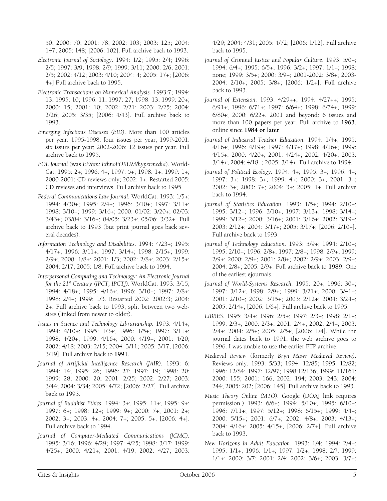50; 2000: 70; 2001: 78; 2002: 103; 2003: 125; 2004: 147; 2005: 148; [2006: 102]. Full archive back to 1993.

- *Electronic Journal of Sociology*. 1994: 1/2; 1995: 2/4; 1996: 2/5; 1997: 3/9; 1998: 2/9; 1999: 3/11; 2000: 2/6; 2001: 2/5; 2002: 4/12; 2003: 4/10; 2004: 4; 2005: 17+; [2006: 4+] Full archive back to 1995.
- *Electronic Transactions on Numerical Analysis*. 1993:7; 1994: 13; 1995: 10; 1996: 11; 1997: 27; 1998: 13; 1999: 20+; 2000: 15; 2001: 10; 2002: 2/21; 2003: 2/25; 2004: 2/26; 2005: 3/35; [2006: 4/43]. Full archive back to 1993.
- *Emerging Infectious Diseases (EID)*. More than 100 articles per year. 1995-1998: four issues per year; 1999-2001: six issues per year; 2002-2006: 12 issues per year. Full archive back to 1995.
- *EOL Journal* (was *EF/hm: EthnoFORUM/hypermedia*). World-Cat. 1995: 2+; 1996: 4+; 1997: 5+; 1998: 1+; 1999: 1+; 2000-2001: CD reviews only; 2002: 1+. Restarted 2005: CD reviews and interviews. Full archive back to 1995.
- *Federal Communications Law Journal*. WorldCat. 1993: 1/5+; 1994: 4/30+; 1995: 2/4+; 1996: 3/10+; 1997: 3/11+; 1998: 3/10+; 1999: 3/16+; 2000. 01/02: 3/20+; 02/03: 3/43+; 03/04: 3/16+; 04/05: 3/23+; 05/06: 3/32+. Full archive back to 1993 (but print journal goes back several decades).
- *Information Technology and Disabilities*. 1994: 4/23+; 1995: 4/17+; 1996: 3/11+; 1997: 3/14+; 1998: 2/15+; 1999: 2/9+; 2000: 1/8+; 2001: 1/3; 2002: 2/8+; 2003: 2/15+; 2004: 2/17; 2005: 1/8. Full archive back to 1994.
- *Interpersonal Computing and Technology: An Electronic Journal for the 21st Century (IPCT, IPCTJ).* WorldCat. 1993: 3/15; 1994: 4/18+; 1995: 4/16+; 1996: 3/10+; 1997: 2/8+; 1998: 2/4+; 1999: 1/3. Restarted 2002: 2002:3; 2004: 2+. Full archive back to 1993, split between two websites (linked from newer to older).
- *Issues in Science and Technology Librarianship*. 1993: 4/14+; 1994: 4/10+; 1995: 1/3+; 1996: 1/5+; 1997: 3/11+; 1998: 4/20+; 1999: 4/16+; 2000: 4/19+; 2001: 4/20; 2002: 4/18; 2003: 2/15; 2004: 3/11; 2005: 3/17; [2006: 3/19]. Full archive back to **1991**.
- *Journal of Artificial Intelligence Research (JAIR)*. 1993: 6; 1994: 14; 1995: 26; 1996: 27; 1997: 19; 1998: 20; 1999: 28; 2000: 20; 2001: 2/25; 2002: 2/27; 2003: 3/44; 2004: 3/34; 2005: 4/72; [2006: 2/27]. Full archive back to 1993.
- *Journal of Buddhist Ethics*. 1994: 3+; 1995: 11+; 1995: 9+; 1997: 6+; 1998: 12+; 1999: 9+; 2000: 7+; 2001: 2+; 2002: 3+; 2003: 4+; 2004: 7+; 2005: 5+; [2006: 4+]. Full archive back to 1994.
- *Journal of Computer-Mediated Communications (JCMC)*. 1995: 3/16; 1996: 4/29; 1997: 4/25; 1998: 3/17; 1999: 4/25+; 2000: 4/21+; 2001: 4/19; 2002: 4/27; 2003:

4/29; 2004: 4/31; 2005: 4/72; [2006: 1/12]. Full archive back to 1995.

- *Journal of Criminal Justice and Popular Culture*. 1993: 5/0+; 1994: 6/4+; 1995: 6/5+; 1996: 3/2+; 1997: 1/1+; 1998: none; 1999: 3/5+; 2000: 3/9+; 2001-2002: 3/8+; 2003- 2004: 2/10+; 2005: 3/8+; [2006: 1/2+]. Full archive back to 1993.
- *Journal of Extension*. 1993: 4/29++; 1994: 4/27++; 1995: 6/91+; 1996: 6/71+; 1997: 6/64+; 1998: 6/74+; 1999: 6/80+; 2000: 6/22+. 2001 and beyond: 6 issues and more than 100 papers per year. Full archive to **1963**, online since **1984 or later**.
- *Journal of Industrial Teacher Education*. 1994: 1/4+; 1995: 4/16+; 1996: 4/19+; 1997: 4/17+; 1998: 4/16+; 1999: 4/15+; 2000: 4/20+; 2001: 4/24+; 2002: 4/20+; 2003: 3/14+; 2004: 4/18+; 2005: 3/14+. Full archive to 1994.
- *Journal of Political Ecology*. 1994: 4+; 1995: 3+; 1996: 4+; 1997: 3+; 1998: 3+; 1999: 4+; 2000: 3+; 2001: 3+; 2002: 3+; 2003: 7+; 2004: 3+; 2005: 1+. Full archive back to 1994.
- *Journal of Statistics Education*. 1993: 1/5+; 1994: 2/10+; 1995: 3/12+; 1996: 3/10+; 1997: 3/13+; 1998: 3/14+; 1999: 3/12+; 2000: 3/16+; 2001: 3/16+; 2002: 3/19+; 2003: 2/12+; 2004: 3/17+; 2005: 3/17+; [2006: 2/10+]. Full archive back to 1993.
- *Journal of Technology Education*. 1993: 5/9+; 1994: 2/10+; 1995: 2/10+; 1996: 2/8+; 1997: 2/8+; 1998: 2/9+; 1999: 2/9+; 2000: 2/9+; 2001: 2/8+; 2002: 2/9+; 2003: 2/9+; 2004: 2/8+; 2005: 2/9+. Full archive back to **1989**: One of the earliest ejournals.
- *Journal of World-Systems Research*. 1995: 20+; 1996: 30+; 1997: 3/12+; 1998: 2/9+; 1999: 3/21+; 2000: 3/41+; 2001: 2/10+; 2002: 3/15+; 2003: 2/12+; 2004: 3/24+; 2005: 2/14+; [2006: 1/6+]. Full archive back to 1995.
- *LIBRES*. 1995: 3/4+; 1996: 2/5+; 1997: 2/3+; 1998: 2/1+; 1999: 2/3+, 2000: 2/3+; 2001: 2/4+; 2002: 2/4+; 2003: 2/4+; 2004: 2/5+; 2005: 2/5+; [2006: 1/4]. While the journal dates back to 1991, the web archive goes to 1996. I was unable to use the earlier FTP archive.
- *Medieval Review* (formerly *Bryn Mawr Medieval Review)*. Reviews only. 1993: 5/33; 1994: 12/85; 1995: 12/82; 1996: 12/84; 1997: 12/97; 1998:12/136; 1999: 11/161; 2000: 155; 2001: 166; 2002: 194; 2003: 243; 2004: 244; 2005: 202; [2006: 145]. Full archive back to 1993.
- *Music Theory Online (MTO)*. Google (DOAJ link requires permission.) 1993: 6/6+; 1994: 5/10+; 1995: 6/10+; 1996: 7/11+; 1997: 5/12+; 1998: 6/15+; 1999: 4/4+; 2000: 5/15+; 2001: 6/7+; 2002: 4/8+; 2003: 4/13+; 2004: 4/16+; 2005: 4/15+; [2006: 2/7+]. Full archive back to 1993.
- *New Horizons in Adult Education*. 1993: 1/4; 1994: 2/4+; 1995: 1/1+; 1996: 1/1+; 1997: 1/2+; 1998: 2/?; 1999: 1/1+; 2000: 3/7; 2001: 2/4; 2002: 3/6+; 2003: 3/7+;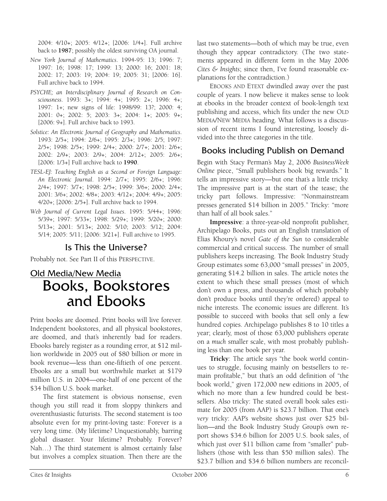2004: 4/10+; 2005: 4/12+; [2006: 1/4+]. Full archive back to **1987**; possibly the oldest surviving OA journal.

- *New York Journal of Mathematics*. 1994-95: 13; 1996: 7; 1997: 16; 1998: 17; 1999: 13; 2000: 16; 2001: 18; 2002: 17; 2003: 19; 2004: 19; 2005: 31; [2006: 16]. Full archive back to 1994.
- *PSYCHE; an Interdisciplinary Journal of Research on Consciousness*. 1993: 3+; 1994: 4+; 1995: 2+; 1996: 4+; 1997: 1+; new signs of life: 1998/99: 13?; 2000: 4; 2001: 0+; 2002: 5; 2003: 3+; 2004: 1+; 2005: 9+; [2006: 9+]. Full archive back to 1993.
- *Solstice: An Electronic Journal of Geography and Mathematics*. 1993: 2/5+; 1994: 2/6+; 1995: 2/3+; 1996: 2/5; 1997: 2/5+; 1998: 2/5+; 1999: 2/4+; 2000: 2/7+; 2001: 2/6+; 2002: 2/9+; 2003: 2/9+; 2004: 2/12+; 2005: 2/6+; [2006: 1/3+] Full archive back to **1990**.
- *TESL-EJ: Teaching English as a Second or Foreign Language: An Electronic Journal*. 1994: 2/7+; 1995: 2/6+; 1996: 2/4+; 1997: 3/7+; 1998: 2/5+; 1999: 3/6+; 2000: 2/4+; 2001: 3/6+; 2002: 4/8+; 2003: 4/12+; 2004: 4/9+; 2005: 4/20+; [2006: 2/5+]. Full archive back to 1994.
- *Web Journal of Current Legal Issues*. 1995: 5/44+; 1996: 5/39+; 1997: 5/33+; 1998: 5/29+; 1999: 5/20+; 2000: 5/13+; 2001: 5/13+; 2002: 5/10; 2003: 5/12; 2004: 5/14; 2005: 5/11; [2006: 3/21+]. Full archive to 1995.

# Is This the Universe?

Probably not. See Part II of this PERSPECTIVE.

# Old Media/New Media Books, Bookstores and Ebooks

Print books are doomed. Print books will live forever. Independent bookstores, and all physical bookstores, are doomed, and that's inherently bad for readers. Ebooks barely register as a rounding error, at \$12 million worldwide in 2005 out of \$80 billion or more in book revenue—less than one-fiftieth of one percent. Ebooks are a small but worthwhile market at \$179 million U.S. in 2004—one-half of one percent of the \$34 billion U.S. book market.

The first statement is obvious nonsense, even though you still read it from sloppy thinkers and overenthusiastic futurists. The second statement is too absolute even for my print-loving taste: Forever is a very long time. (My lifetime? Unquestionably, barring global disaster. Your lifetime? Probably. Forever? Nah…) The third statement is almost certainly false but involves a complex situation. Then there are the

last two statements—both of which may be true, even though they appear contradictory. (The two statements appeared in different form in the May 2006 *Cites & Insights*; since then, I've found reasonable explanations for the contradiction.)

EBOOKS AND ETEXT dwindled away over the past couple of years. I now believe it makes sense to look at ebooks in the broader context of book-length text publishing and access, which fits under the new OLD MEDIA/NEW MEDIA heading. What follows is a discussion of recent items I found interesting, loosely divided into the three categories in the title.

# Books including Publish on Demand

Begin with Stacy Perman's May 2, 2006 *BusinessWeek Online* piece, "Small publishers book big rewards." It tells an impressive story—but one that's a little tricky. The impressive part is at the start of the tease; the tricky part follows. Impressive: "Nonmainstream presses generated \$14 billion in 2005." Tricky: "more than half of all book sales."

**Impressive**: a three-year-old nonprofit publisher, Archipelago Books, puts out an English translation of Elias Khoury's novel *Gate of the Sun* to considerable commercial and critical success. The number of small publishers keeps increasing. The Book Industry Study Group estimates some 63,000 "small presses" in 2005, generating \$14.2 billion in sales. The article notes the extent to which these small presses (most of which don't own a press, and thousands of which probably don't produce books until they're ordered) appeal to niche interests. The economic issues are different. It's possible to succeed with books that sell only a few hundred copies. Archipelago publishes 8 to 10 titles a year; clearly, most of those 63,000 publishers operate on a *much* smaller scale, with most probably publishing less than one book per year.

**Tricky**: The article says "the book world continues to struggle, focusing mainly on bestsellers to remain profitable," but that's an odd definition of "the book world," given 172,000 new editions in 2005, of which no more than a few hundred could be bestsellers. Also tricky: The stated overall book sales estimate for 2005 (from AAP) is \$23.7 billion. That one's *very* tricky: AAP's website shows just over \$25 billion—and the Book Industry Study Group's own report shows \$34.6 billion for 2005 U.S. book sales, of which just over \$11 billion came from "smaller" publishers (those with less than \$50 million sales). The \$23.7 billion and \$34.6 billion numbers are reconcil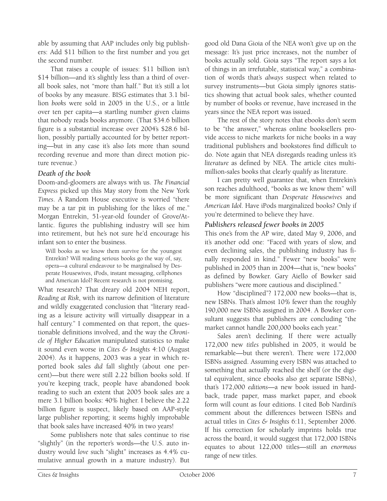able by assuming that AAP includes only big publishers: Add \$11 billion to the first number and you get the second number.

That raises a couple of issues: \$11 billion isn't \$14 billion—and it's slightly less than a third of overall book sales, not "more than half." But it's still a lot of books by any measure. BISG estimates that 3.1 billion *books* were sold in 2005 in the U.S., or a little over ten per capita—a startling number given claims that nobody reads books anymore. (That \$34.6 billion figure is a substantial increase over 2004's \$28.6 billion, possibly partially accounted for by better reporting—but in any case it's also *lots* more than sound recording revenue and more than direct motion picture revenue.)

#### *Death of the book*

Doom-and-gloomers are always with us. *The Financial Express* picked up this May story from the New York *Times*. A Random House executive is worried "there may be a tar pit in publishing for the likes of me." Morgan Entrekin, 51-year-old founder of Grove/Atlantic. figures the publishing industry will see him into retirement, but he's not sure he'd encourage his infant son to enter the business.

Will books as we know them survive for the youngest Entrekin? Will reading serious books go the way of, say, opera—a cultural endeavour to be marginalised by Desperate Housewives, iPods, instant messaging, cellphones and American Idol? Recent research is not promising.

What research? That dreary old 2004 NEH report, *Reading at Risk*, with its narrow definition of literature and wildly exaggerated conclusion that "literary reading as a leisure activity will virtually disappear in a half century." I commented on that report, the questionable definitions involved, and the way the *Chronicle of Higher Education* manipulated statistics to make it sound even worse in *Cites & Insights* 4:10 (August 2004). As it happens, 2003 was a year in which reported book sales *did* fall slightly (about one percent)—but there were still 2.22 billion books sold. If you're keeping track, people have abandoned book reading to such an extent that 2005 book sales are a mere 3.1 billion books: 40% higher. I believe the 2.22 billion figure is suspect, likely based on AAP-style large publisher reporting; it seems highly improbable that book sales have increased 40% in two years!

Some publishers note that sales continue to rise "slightly" (in the reporter's words—the U.S. auto industry would *love* such "slight" increases as 4.4% cumulative annual growth in a mature industry). But

good old Dana Gioia of the NEA won't give up on the message: It's just price increases, not the number of books actually sold. Gioia says "The report says a lot of things in an irrefutable, statistical way," a combination of words that's *always* suspect when related to survey instruments—but Gioia simply ignores statistics showing that actual book sales, whether counted by number of books or revenue, have increased in the years since the NEA report was issued.

The rest of the story notes that ebooks don't seem to be "the answer," whereas online booksellers provide access to niche markets for niche books in a way traditional publishers and bookstores find difficult to do. Note again that NEA disregards reading unless it's *literature* as defined by NEA. The article cites multimillion-sales books that clearly qualify as literature.

I can pretty well guarantee that, when Entrekin's son reaches adulthood, "books as we know them" will be more significant than *Desperate Housewives* and *American Idol*. Have iPods marginalized books? Only if you're determined to believe they have.

#### *Publishers released fewer books in 2005*

This one's from the AP wire, dated May 9, 2006, and it's another odd one: "Faced with years of slow, and even declining sales, the publishing industry has finally responded in kind." Fewer "new books" were published in 2005 than in 2004—that is, "new books" as defined by Bowker. Gary Aiello of Bowker said publishers "were more cautious and disciplined."

How "disciplined"? 172,000 new books—that is, new ISBNs. That's almost 10% fewer than the roughly 190,000 new ISBNs assigned in 2004. A Bowker consultant suggests that publishers are concluding "the market cannot handle 200,000 books each year."

Sales aren't declining. If there were actually 172,000 new *titles* published in 2005, it would be remarkable—but there weren't. There were 172,000 ISBNs assigned. Assuming every ISBN was attached to something that actually reached the shelf (or the digital equivalent, since ebooks also get separate ISBNs), that's 172,000 *editions*—a new book issued in hardback, trade paper, mass market paper, and ebook form will count as four editions. I cited Bob Nardini's comment about the differences between ISBNs and actual titles in *Cites & Insights* 6:11, September 2006. If his correction for scholarly imprints holds true across the board, it would suggest that 172,000 ISBNs equates to about 122,000 titles—still an *enormous*  range of new titles.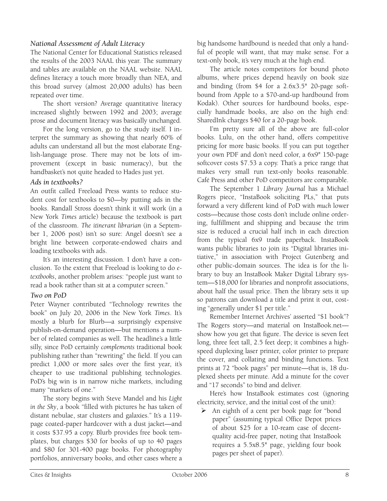#### *National Assessment of Adult Literacy*

The National Center for Educational Statistics released the results of the 2003 NAAL this year. The summary and tables are available on the NAAL website. NAAL defines literacy a touch more broadly than NEA, and this broad survey (almost 20,000 adults) has been repeated over time.

The short version? Average quantitative literacy increased slightly between 1992 and 2003; average prose and document literacy was basically unchanged.

For the long version, go to the study itself. I interpret the summary as showing that nearly 60% of adults can understand all but the most elaborate English-language prose. There may not be lots of improvement (except in basic numeracy), but the handbasket's not quite headed to Hades just yet.

#### *Ads in textbooks?*

An outfit called Freeload Press wants to reduce student cost for textbooks to \$0—by putting ads in the books. Randall Stross doesn't think it will work (in a New York *Times* article) because the textbook is part of the classroom. *The itinerant librarian* (in a September 1, 2006 post) isn't so sure: Angel doesn't see a bright line between corporate-endowed chairs and loading textbooks with ads.

It's an interesting discussion. I don't have a conclusion. To the extent that Freeload is looking to do *etextbooks*, another problem arises: "people just want to read a book rather than sit at a computer screen."

#### *Two on PoD*

Peter Wayner contributed "Technology rewrites the book" on July 20, 2006 in the New York *Times*. It's mostly a blurb for Blurb—a surprisingly expensive publish-on-demand operation—but mentions a number of related companies as well. The headline's a little silly, since PoD certainly *complements* traditional book publishing rather than "rewriting" the field. If you can predict 1,000 or more sales over the first year, it's cheaper to use traditional publishing technologies. PoD's big win is in narrow niche markets, including many "markets of one."

The story begins with Steve Mandel and his *Light in the Sky*, a book "filled with pictures he has taken of distant nebulae, star clusters and galaxies." It's a 119 page coated-paper hardcover with a dust jacket—and it costs \$37.95 a copy. Blurb provides free book templates, but charges \$30 for books of up to 40 pages and \$80 for 301-400 page books. For photography portfolios, anniversary books, and other cases where a big handsome hardbound is needed that only a handful of people will want, that may make sense. For a text-only book, it's very much at the high end.

The article notes competitors for bound photo albums, where prices depend heavily on book size and binding (from \$4 for a 2.6x3.5" 20-page softbound from Apple to a \$70-and-up hardbound from Kodak). Other sources for hardbound books, especially handmade books, are also on the high end: SharedInk charges \$40 for a 20-page book.

I'm pretty sure all of the above are full-color books. Lulu, on the other hand, offers competitive pricing for more basic books. If you can put together your own PDF and don't need color, a 6x9" 150-page softcover costs \$7.53 a copy. That's a price range that makes very small run text-only books reasonable. Café Press and other PoD competitors are comparable.

The September 1 *Library Journal* has a Michael Rogers piece, "InstaBook soliciting PLs," that puts forward a very different kind of PoD with *much* lower costs—because those costs don't include online ordering, fulfillment and shipping and because the trim size is reduced a crucial half inch in each direction from the typical 6x9 trade paperback. InstaBook wants public libraries to join its "Digital libraries initiative," in association with Project Gutenberg and other public-domain sources. The idea is for the library to buy an InstaBook Maker Digital Library system—\$18,000 for libraries and nonprofit associations, about half the usual price. Then the library sets it up so patrons can download a title and print it out, costing "generally under \$1 per title."

Remember Internet Archives' asserted "\$1 book"? The Rogers story—and material on InstaBook.net show how you get that figure. The device is seven feet long, three feet tall, 2.5 feet deep; it combines a highspeed duplexing laser printer, color printer to prepare the cover, and collating and binding functions. Text prints at 72 "book pages" per minute—that is, 18 duplexed sheets per minute. Add a minute for the cover and "17 seconds" to bind and deliver.

Here's how InstaBook estimates cost (ignoring electricity, service, and the initial cost of the unit):

¾ An eighth of a cent per book page for "bond paper" (assuming typical Office Depot prices of about \$25 for a 10-ream case of decentquality acid-free paper, noting that InstaBook requires a 5.5x8.5" page, yielding four book pages per sheet of paper).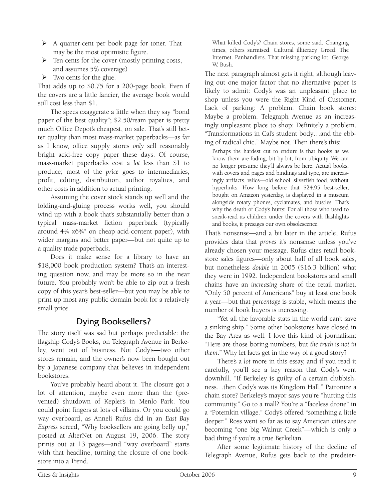- $\triangleright$  A quarter-cent per book page for toner. That may be the most optimistic figure.
- $\triangleright$  Ten cents for the cover (mostly printing costs, and assumes 5% coverage)
- $\triangleright$  Two cents for the glue.

That adds up to \$0.75 for a 200-page book. Even if the covers are a little fancier, the average book would still cost less than \$1.

The specs exaggerate a little when they say "bond paper of the best quality"; \$2.50/ream paper is pretty much Office Depot's cheapest, on sale. That's still better quality than most mass-market paperbacks—as far as I know, office supply stores *only* sell reasonably bright acid-free copy paper these days. Of course, mass-market paperbacks cost a *lot* less than \$1 to produce; most of the *price* goes to intermediaries, profit, editing, distribution, author royalties, and other costs in addition to actual printing.

Assuming the cover stock stands up well and the folding-and-gluing process works well, you should wind up with a book that's substantially better than a typical mass-market fiction paperback (typically around 4¼ x6¾" on cheap acid-content paper), with wider margins and better paper—but not quite up to a quality trade paperback.

Does it make sense for a library to have an \$18,000 book production system? That's an interesting question now, and may be more so in the near future. You probably won't be able to zip out a fresh copy of this year's best-seller—but you may be able to print up most any public domain book for a relatively small price.

# Dying Booksellers?

The story itself was sad but perhaps predictable: the flagship Cody's Books, on Telegraph Avenue in Berkeley, went out of business. Not Cody's—two other stores remain, and the owner's now been bought out by a Japanese company that believes in independent bookstores.

You've probably heard about it. The closure got a lot of attention, maybe even more than the (prevented) shutdown of Kepler's in Menlo Park. You could point fingers at lots of villains. Or you could go way overboard, as Anneli Rufus did in an *East Bay Express* screed, "Why booksellers are going belly up," posted at AlterNet on August 19, 2006. The story prints out at 13 pages—and "way overboard" starts with that headline, turning the closure of one bookstore into a Trend.

What killed Cody's? Chain stores, some said. Changing times, others surmised. Cultural illiteracy. Greed. The Internet. Panhandlers. That missing parking lot. George W. Bush.

The next paragraph almost gets it right, although leaving out one major factor that no alternative paper is likely to admit: Cody's was an unpleasant place to shop unless you were the Right Kind of Customer. Lack of parking: A problem. Chain book stores: Maybe a problem. Telegraph Avenue as an increasingly unpleasant place to shop: Definitely a problem. "Transformations in Cal's student body…and the ebbing of radical chic." Maybe not. Then there's this:

Perhaps the hardest cut to endure is that books as we know them are fading, bit by bit, from ubiquity. We can no longer presume they'll always be here. Actual books, with covers and pages and bindings and type, are increasingly artifacts, relics—old school, silverfish food, without hyperlinks. How long before that \$24.95 best-seller, bought on Amazon yesterday, is displayed in a museum alongside rotary phones, cyclamates, and bustles. That's why the death of Cody's hurts: For all those who used to sneak-read as children under the covers with flashlights and books, it presages our own obsolescence.

That's nonsense—and a bit later in the article, Rufus provides data that *proves* it's nonsense unless you've already chosen your message. Rufus cites retail bookstore sales figures—only about half of all book sales, but nonetheless *double* in 2005 (\$16.3 billion) what they were in 1992. Independent bookstores and small chains have an *increasing* share of the retail market. "Only 50 percent of Americans" buy at least one book a year—but that *percentage* is stable, which means the number of book buyers is increasing.

"Yet all the favorable stats in the world can't save a sinking ship." Some other bookstores have closed in the Bay Area as well. I love this kind of journalism: "Here are those boring numbers, but *the truth is not in them*." Why let facts get in the way of a good story?

There's a *lot* more in this essay, and if you read it carefully, you'll see a key reason that Cody's went downhill. "If Berkeley is guilty of a certain clubbishness…then Cody's was its Kingdom Hall." Patronize a chain store? Berkeley's mayor says you're "hurting this community." Go to a mall? You're a "faceless drone" in a "Potemkin village." Cody's offered "something a little deeper." Ross went so far as to say American cities are becoming "one big Walnut Creek"—which is only a bad thing if you're a true Berkelian.

After some legitimate history of the decline of Telegraph Avenue, Rufus gets back to the predeter-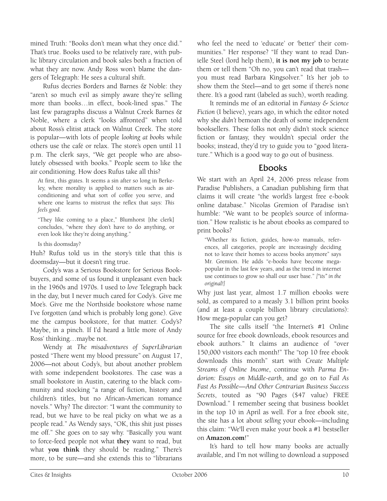mined Truth: "Books don't mean what they once did." That's true. Books used to be relatively rare, with public library circulation and book sales both a fraction of what they are now. Andy Ross won't blame the dangers of Telegraph: He sees a cultural shift.

Rufus decries Borders and Barnes & Noble: they "aren't so much evil as simply aware they're selling more than books…in effect, book-lined spas." The last few paragraphs discuss a Walnut Creek Barnes & Noble, where a clerk "looks affronted" when told about Ross's elitist attack on Walnut Creek. The store is popular—with lots of people *looking at books* while others use the café or relax. The store's open until 11 p.m. The clerk says, "We get people who are absolutely obsessed with books." People seem to like the air conditioning. How does Rufus take all this?

At first, this grates. It seems a sin after so long in Berkeley, where morality is applied to matters such as airconditioning and what sort of coffee you serve, and where one learns to mistrust the reflex that says: *This feels good*.

"They like coming to a place," Blumhorst [the clerk] concludes, "where they don't have to do anything, or even look like they're doing anything."

Is this doomsday?

Huh? Rufus told us in the story's title that this *is*  doomsday—but it doesn't ring true.

Cody's was a Serious Bookstore for Serious Bookbuyers, and some of us found it unpleasant even back in the 1960s and 1970s. I used to *love* Telegraph back in the day, but I never much cared for Cody's. Give me Moe's. Give me the Northside bookstore whose name I've forgotten (and which is probably long gone). Give me the campus bookstore, for that matter. Cody's? Maybe, in a pinch. If I'd heard a little more of Andy Ross' thinking…maybe not.

Wendy at *The misadventures of SuperLibrarian* posted "There went my blood pressure" on August 17, 2006—not about Cody's, but about another problem with some independent bookstores. The case was a small bookstore in Austin, catering to the black community and stocking "a range of fiction, history and children's titles, but no African-American romance novels." Why? The director: "I want the community to read, but we have to be real picky on what we as a people read." As Wendy says, "OK, this shit just pisses me off." She goes on to say why. "Basically you want to force-feed people not what **they** want to read, but what **you think** they should be reading." There's more, to be sure—and she extends this to "librarians

who feel the need to 'educate' or 'better' their communities." Her response? "If they want to read Danielle Steel (lord help them), **it is not my job** to berate them or tell them "Oh no, you can't read that trash you must read Barbara Kingsolver." It's her job to show them the Steel—and to get some if there's none there. It's a good rant (labeled as such), worth reading.

It reminds me of an editorial in *Fantasy & Science Fiction* (I believe), years ago, in which the editor noted why she *didn't* bemoan the death of some independent booksellers. These folks not only didn't stock science fiction or fantasy, they wouldn't special order the books; instead, they'd try to guide you to "good literature." Which is a good way to go out of business.

#### Ebooks

We start with an April 24, 2006 press release from Paradise Publishers, a Canadian publishing firm that claims it will create "the world's largest free e-book online database." Nicolas Gremion of Paradise isn't humble: "We want to be people's source of information." How realistic is he about ebooks as compared to print books?

"Whether its fiction, guides, how-to manuals, references, all categories, people are increasingly deciding not to leave their homes to access books anymore" says Mr. Gremion. He adds "e-books have become megapopular in the last few years, and as the trend in internet use continues to grow so shall our user base." *["its" in the original!]* 

Why just last year, almost 1.7 million ebooks were sold, as compared to a measly 3.1 billion print books (and at least a couple billion library circulations): How mega-popular can you get?

The site calls itself "the Internet's #1 Online source for free ebook downloads, ebook resources and ebook authors." It claims an audience of "over 150,000 visitors each month!" The "top 10 free ebook downloads this month" start with *Create Multiple Streams of Online Income*, continue with *Parma Endorion: Essays on Middle-earth*, and go on to *Fail As Fast As Possible—And Other Contrarian Business Success Secrets*, touted as "90 Pages (\$47 value) FREE Download." I remember seeing that business booklet in the top 10 in April as well. For a free ebook site, the site has a lot about *selling* your ebook—including this claim: "We'll even make your book a #1 bestseller on **Amazon.com**!"

It's hard to tell how many books are actually available, and I'm not willing to download a supposed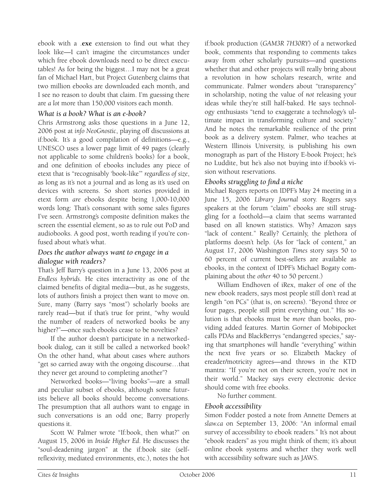ebook with a .**exe** extension to find out what they look like—I can't imagine the circumstances under which free ebook downloads need to be direct executables! As for being the biggest…I may not be a great fan of Michael Hart, but Project Gutenberg claims that two million ebooks are downloaded each month, and I see no reason to doubt that claim. I'm guessing there are *a lot* more than 150,000 visitors each month.

#### *What is a book? What is an e-book?*

Chris Armstrong asks those questions in a June 12, 2006 post at *info NeoGnostic*, playing off discussions at if:book. It's a good compilation of definitions—e.g., UNESCO uses a lower page limit of 49 pages (clearly not applicable to some children's books) for a book, and one definition of ebooks includes any piece of etext that is "recognisably 'book-like'" *regardless of size*, as long as it's not a journal and as long as it's used on devices with screens. So short stories provided in etext form *are* ebooks despite being 1,000-10,000 words long: That's consonant with some sales figures I've seen. Armstrong's composite definition makes the screen the essential element, so as to rule out PoD and audiobooks. A good post, worth reading if you're confused about what's what.

#### *Does the author always want to engage in a dialogue with readers?*

That's Jeff Barry's question in a June 13, 2006 post at *Endless hybrids*. He cites interactivity as one of the claimed benefits of digital media—but, as he suggests, lots of authors finish a project then want to move on. Sure, many (Barry says "most") scholarly books are rarely read—but if that's true for print, "why would the number of readers of networked books be any higher?"—once such ebooks cease to be novelties?

If the author doesn't participate in a networkedbook dialog, can it still be called a networked book? On the other hand, what about cases where authors "get so carried away with the ongoing discourse…that they never get around to completing another"?

Networked books—"living books"—are a small and peculiar subset of ebooks, although some futurists believe all books should become conversations. The presumption that all authors want to engage in such conversations is an odd one; Barry properly questions it.

Scott W. Palmer wrote "If:book, then what?" on August 15, 2006 in *Inside Higher Ed*. He discusses the "soul-deadening jargon" at the if:book site (selfreflexivity, mediated environments, etc.), notes the hot

if:book production (*GAM3R 7H30RY*) of a networked book, comments that responding to comments takes away from other scholarly pursuits—and questions whether that and other projects will really bring about a revolution in how scholars research, write and communicate. Palmer wonders about "transparency" in scholarship, noting the value of *not* releasing your ideas while they're still half-baked. He says technology enthusiasts "tend to exaggerate a technology's ultimate impact in transforming culture and society." And he notes the remarkable resilience of the print book as a delivery system. Palmer, who teaches at Western Illinois University, is publishing his own monograph as part of the History E-book Project; he's no Luddite, but he's also not buying into if:book's vision without reservations.

#### *Ebooks struggling to find a niche*

Michael Rogers reports on IDPF's May 24 meeting in a June 15, 2006 *Library Journal* story. Rogers says speakers at the forum "claim" ebooks are still struggling for a foothold—a claim that seems warranted based on all known statistics. Why? Amazon says "lack of content." Really? Certainly, the plethora of platforms doesn't help. (As for "lack of content," an August 17, 2006 Washington *Times* story says 50 to 60 percent of current best-sellers are available as ebooks, in the context of IDPF's Michael Bogaty complaining about the *other* 40 to 50 percent.)

William Endhoven of iRex, maker of one of the new ebook readers, says most people still don't read at length "on PCs" (that is, on screens). "Beyond three or four pages, people still print everything out." His solution is that ebooks must be *more* than books, providing added features. Martin Gorner of Mobipocket calls PDAs and BlackBerrys "endangered species," saying that smartphones will handle "everything" within the next five years or so. Elizabeth Mackey of ereader/motricity agrees—and throws in the KTD mantra: "If you're not on their screen, you're not in their world." Mackey says every electronic device should come with free ebooks.

No further comment.

#### *Ebook accessibility*

Simon Fodder posted a note from Annette Demers at *slaw.ca* on September 13, 2006: "An informal email survey of accessibility to ebook readers." It's not about "ebook readers" as you might think of them; it's about online ebook systems and whether they work well with accessibility software such as JAWS.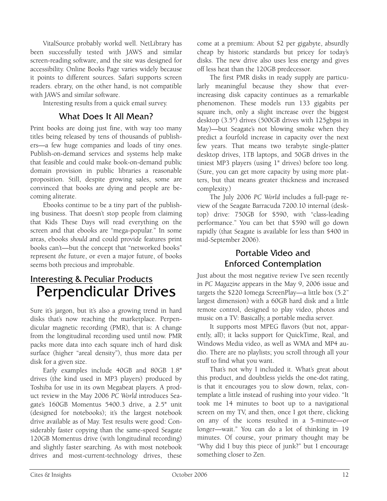VitalSource probably workd well. NetLibrary has been successfully tested with JAWS and similar screen-reading software, and the site was designed for accessibility. Online Books Page varies widely because it points to different sources. Safari supports screen readers. ebrary, on the other hand, is not compatible with JAWS and similar software.

Interesting results from a quick email survey.

#### What Does It All Mean?

Print books are doing just fine, with way too many titles being released by tens of thousands of publishers—a few huge companies and loads of tiny ones. Publish-on-demand services and systems help make that feasible and could make book-on-demand public domain provision in public libraries a reasonable proposition. Still, despite growing sales, some are convinced that books are dying and people are becoming aliterate.

Ebooks continue to be a tiny part of the publishing business. That doesn't stop people from claiming that Kids These Days will read everything on the screen and that ebooks are "mega-popular." In some areas, ebooks *should* and could provide features print books can't—but the concept that "networked books" represent *the* future, or even a major future, of books seems both precious and improbable.

# Interesting & Peculiar Products Perpendicular Drives

Sure it's jargon, but it's also a growing trend in hard disks that's now reaching the marketplace. Perpendicular magnetic recording (PMR), that is: A change from the longitudinal recording used until now. PMR packs more data into each square inch of hard disk surface (higher "areal density"), thus more data per disk for a given size.

Early examples include 40GB and 80GB 1.8" drives (the kind used in MP3 players) produced by Toshiba for use in its own Megabeat players. A product review in the May 2006 *PC World* introduces Seagate's 160GB Momentus 5400.3 drive, a 2.5" unit (designed for notebooks); it's the largest notebook drive available as of May. Test results were good: Considerably faster copying than the same-speed Seagate 120GB Momentus drive (with longitudinal recording) and slightly faster searching. As with most notebook drives and most-current-technology drives, these

come at a premium: About \$2 per gigabyte, absurdly cheap by historic standards but pricey for today's disks. The new drive also uses less energy and gives off less heat than the 120GB predecessor.

The first PMR disks in ready supply are particularly meaningful because they show that everincreasing disk capacity continues as a remarkable phenomenon. These models run 133 gigabits per square inch, only a slight increase over the biggest desktop (3.5") drives (500GB drives with 125gbpsi in May)—but Seagate's not blowing smoke when they predict a fourfold increase in capacity over the next few years. That means two terabyte single-platter desktop drives, 1TB laptops, and 50GB drives in the tiniest MP3 players (using 1" drives) before too long. (Sure, you can get more capacity by using more platters, but that means greater thickness and increased complexity.)

The July 2006 *PC World* includes a full-page review of the Seagate Barracuda 7200.10 internal (desktop) drive: 750GB for \$590, with "class-leading performance." You can bet that \$590 will go down rapidly (that Seagate is available for less than \$400 in mid-September 2006).

# Portable Video and Enforced Contemplation

Just about the most negative review I've seen recently in *PC Magazine* appears in the May 9, 2006 issue and targets the \$220 Iomega ScreenPlay—a little box (5.2" largest dimension) with a 60GB hard disk and a little remote control, designed to play video, photos and music on a TV: Basically, a portable media server.

It supports most MPEG flavors (but not, apparently, all); it lacks support for QuickTime, Real, and Windows Media video, as well as WMA and MP4 audio. There are no playlists; you scroll through all your stuff to find what you want.

That's not why I included it. What's great about this product, and doubtless yields the one-dot rating, is that it encourages you to slow down, relax, contemplate a little instead of rushing into your video. "It took me 14 minutes to boot up to a navigational screen on my TV, and then, once I got there, clicking on any of the icons resulted in a 5-minute—or longer—wait." You can do a lot of thinking in 19 minutes. Of course, your primary thought may be "Why did I buy this piece of junk?" but I encourage something closer to Zen.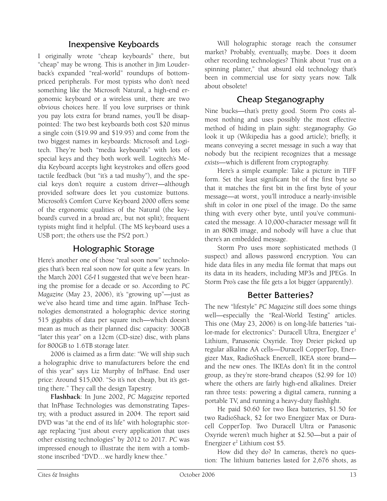# Inexpensive Keyboards

I originally wrote "cheap keyboards" there, but "cheap" may be wrong. This is another in Jim Louderback's expanded "real-world" roundups of bottompriced peripherals. For most typists who don't need something like the Microsoft Natural, a high-end ergonomic keyboard or a wireless unit, there are two obvious choices here. If you love surprises or think you pay lots extra for brand names, you'll be disappointed: The two best keyboards both cost \$20 minus a single coin (\$19.99 and \$19.95) and come from the two biggest names in keyboards: Microsoft and Logitech. They're both "media keyboards" with lots of special keys and they both work well. Logitech's Media Keyboard accepts light keystrokes and offers good tactile feedback (but "it's a tad mushy"), and the special keys don't require a custom driver—although provided software does let you customize buttons. Microsoft's Comfort Curve Keyboard 2000 offers some of the ergonomic qualities of the Natural (the keyboard's curved in a broad arc, but not split); frequent typists might find it helpful. (The MS keyboard uses a USB port; the others use the PS/2 port.)

## Holographic Storage

Here's another one of those "real soon now" technologies that's been real soon now for quite a few years. In the March 2001 *C&I* I suggested that we've been hearing the promise for a decade or so. According to *PC Magazine* (May 23, 2006), it's "growing up"—just as we've also heard time and time again. InPhase Technologies demonstrated a holographic device storing 515 gigabits of data per square inch—which doesn't mean as much as their planned disc capacity: 300GB "later this year" on a 12cm (CD-size) disc, with plans for 800GB to 1.6TB storage later.

2006 is claimed as a firm date: "We will ship such a holographic drive to manufacturers before the end of this year" says Liz Murphy of InPhase. End user price: Around \$15,000. "So it's not cheap, but it's getting there." They call the design Tapestry.

**Flashback**: In June 2002, *PC Magazine* reported that InPhase Technologies was demonstrating Tapestry, with a product assured in 2004. The report said DVD was "at the end of its life" with holographic storage replacing "just about every application that uses other existing technologies" by 2012 to 2017. *PC* was impressed enough to illustrate the item with a tombstone inscribed "DVD…we hardly knew thee."

Will holographic storage reach the consumer market? Probably, eventually, maybe. Does it doom other recording technologies? Think about "rust on a spinning platter," that absurd old technology that's been in commercial use for sixty years now. Talk about obsolete!

# Cheap Steganography

Nine bucks—that's pretty good. Storm Pro costs almost nothing and uses possibly the most effective method of hiding in plain sight: steganography. Go look it up (Wikipedia has a good article); briefly, it means conveying a secret message in such a way that nobody but the recipient recognizes that a message *exists*—which is different from cryptography.

Here's a simple example: Take a picture in TIFF form. Set the least significant bit of the first byte so that it matches the first bit in the first byte of your message—at worst, you'll introduce a nearly-invisible shift in color in one pixel of the image. Do the same thing with every other byte, until you've communicated the message. A 10,000-character message will fit in an 80KB image, and nobody will have a clue that there's an embedded message.

Storm Pro uses more sophisticated methods (I suspect) and allows password encryption. You can hide data files in any media file format that maps out its data in its headers, including MP3s and JPEGs. In Storm Pro's case the file gets a lot bigger (apparently).

# Better Batteries?

The new "lifestyle" *PC Magazine* still does some things well—especially the "Real-World Testing" articles. This one (May 23, 2006) is on long-life batteries "tailor-made for electronics": Duracell Ultra, Energizer  $e^2$ Lithium, Panasonic Oxyride. Troy Dreier picked up regular alkaline AA cells—Duracell CopperTop, Energizer Max, RadioShack Enercell, IKEA store brand and the new ones. The IKEAs don't fit in the control group, as they're store-brand cheapos (\$2.99 for 10) where the others are fairly high-end alkalines. Dreier ran three tests: powering a digital camera, running a portable TV, and running a heavy-duty flashlight.

He paid \$0.60 for two Ikea batteries, \$1.50 for two RadioShack, \$2 for two Energizer Max or Duracell CopperTop. Two Duracell Ultra or Panasonic Oxyride weren't much higher at \$2.50—but a pair of Energizer e<sup>2</sup> Lithium cost \$5.

How did they do? In cameras, there's no question: The lithium batteries lasted for 2,676 shots, as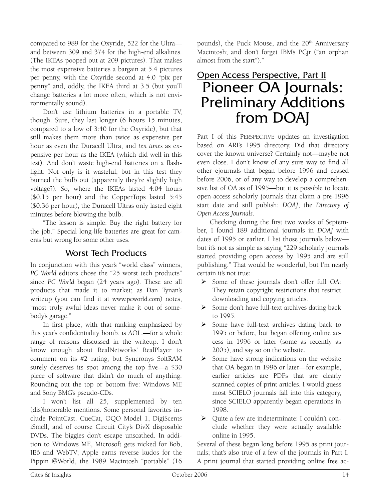compared to 989 for the Oxyride, 522 for the Ultra and between 309 and 374 for the high-end alkalines. (The IKEAs pooped out at 209 pictures). That makes the most expensive batteries a bargain at 5.4 pictures per penny, with the Oxyride second at 4.0 "pix per penny" and, oddly, the IKEA third at 3.5 (but you'll change batteries a lot more often, which is not environmentally sound).

Don't use lithium batteries in a portable TV, though. Sure, they last longer (6 hours 15 minutes, compared to a low of 3:40 for the Oxyride), but that still makes them more than twice as expensive per hour as even the Duracell Ultra, and *ten times* as expensive per hour as the IKEA (which did well in this test). And don't waste high-end batteries on a flashlight: Not only is it wasteful, but in this test they burned the bulb out (apparently they're slightly high voltage?). So, where the IKEAs lasted 4:04 hours (\$0.15 per hour) and the CopperTops lasted 5:45 (\$0.36 per hour), the Duracell Ultras only lasted eight minutes before blowing the bulb.

"The lesson is simple: Buy the right battery for the job." Special long-life batteries are great for cameras but wrong for some other uses.

# Worst Tech Products

In conjunction with this year's "world class" winners, *PC World* editors chose the "25 worst tech products" since *PC World* began (24 years ago). These are all products that made it to market; as Dan Tynan's writeup (you can find it at www.pcworld.com) notes, "most truly awful ideas never make it out of somebody's garage."

In first place, with that ranking emphasized by this year's confidentiality bomb, is AOL.—for a whole range of reasons discussed in the writeup. I don't know enough about RealNetworks' RealPlayer to comment on its #2 rating, but Syncronys SoftRAM surely deserves its spot among the top five—a \$30 piece of software that didn't do much of anything. Rounding out the top or bottom five: Windows ME and Sony BMG's pseudo-CDs.

I won't list all 25, supplemented by ten (dis)honorable mentions. Some personal favorites include PointCast. CueCat, OQO Model 1, DigiScents iSmell, and of course Circuit City's DivX disposable DVDs. The biggies don't escape unscathed. In addition to Windows ME, Microsoft gets nicked for Bob, IE6 and WebTV; Apple earns reverse kudos for the Pippin @World, the 1989 Macintosh "portable" (16

pounds), the Puck Mouse, and the 20<sup>th</sup> Anniversary Macintosh; and don't forget IBM's PCjr ("an orphan almost from the start")."

# Open Access Perspective, Part II Pioneer OA Journals: Preliminary Additions from DOAJ

Part I of this PERSPECTIVE updates an investigation based on ARL's 1995 directory. Did that directory cover the known universe? Certainly not—maybe not even close. I don't know of any sure way to find all other ejournals that began before 1996 and ceased before 2006, or of any way to develop a comprehensive list of OA as of 1995—but it is possible to locate open-access scholarly journals that claim a pre-1996 start date and still publish: *DOAJ*, the *Directory of Open Access Journals*.

Checking during the first two weeks of September, I found 189 additional journals in *DOAJ* with dates of 1995 or earlier. I list those journals below but it's not as simple as saying "229 scholarly journals started providing open access by 1995 and are still publishing." That would be wonderful, but I'm nearly certain it's not true:

- ¾ Some of these journals don't offer full OA: They retain copyright restrictions that restrict downloading and copying articles.
- ¾ Some don't have full-text archives dating back to 1995.
- $\triangleright$  Some have full-text archives dating back to 1995 or before, but began offering online access in 1996 or later (some as recently as 2005), and say so on the website.
- $\triangleright$  Some have strong indications on the website that OA began in 1996 or later—for example, earlier articles are PDFs that are clearly scanned copies of print articles. I would guess most SCIELO journals fall into this category, since SCIELO apparently began operations in 1998.
- ¾ Quite a few are indeterminate: I couldn't conclude whether they were actually available online in 1995.

Several of these began long before 1995 as print journals; that's also true of a few of the journals in Part I. A print journal that started providing online free ac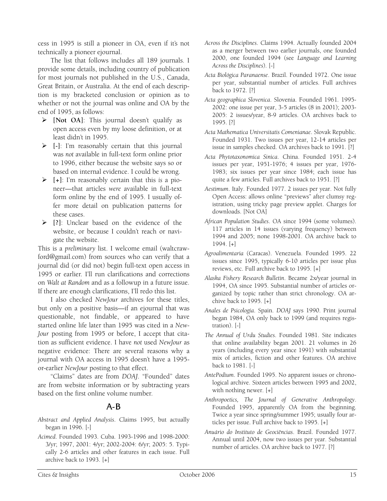cess in 1995 is still a pioneer in OA, even if it's not technically a pioneer ejournal.

The list that follows includes all 189 journals. I provide some details, including country of publication for most journals not published in the U.S., Canada, Great Britain, or Australia. At the end of each description is my bracketed conclusion or opinion as to whether or not the journal was online and OA by the end of 1995, as follows:

- ¾ **[Not OA]**: This journal doesn't qualify as open access even by my loose definition, or at least didn't in 1995.
- ¾ **[-]**: I'm reasonably certain that this journal was *not* available in full-text form online prior to 1996, either because the website says so or based on internal evidence. I could be wrong.
- ¾ **[+]**: I'm reasonably certain that this *is* a pioneer—that articles *were* available in full-text form online by the end of 1995. I usually offer more detail on publication patterns for these cases.
- ¾ **[?]**: Unclear based on the evidence of the website, or because I couldn't reach or navigate the website.

This is a *preliminary* list. I welcome email (waltcrawford@gmail.com) from sources who can verify that a journal did (or did not) begin full-text open access in 1995 or earlier. I'll run clarifications and corrections on *Walt at Random* and as a followup in a future issue. If there are enough clarifications, I'll redo this list.

I also checked *NewJour* archives for these titles, but only on a positive basis—if an ejournal that was questionable, not findable, or appeared to have started online life later than 1995 was cited in a *New-Jour* posting from 1995 or before, I accept that citation as sufficient evidence. I have *not* used *NewJour* as negative evidence: There are several reasons why a journal with OA access in 1995 doesn't have a 1995 or-earlier *NewJour* posting to that effect.

"Claims" dates are from *DOAJ*. "Founded" dates are from website information or by subtracting years based on the first online volume number.

# A-B

- *Abstract and Applied Analysis*. Claims 1995, but actually began in 1996. [-]
- *Acimed*. Founded 1993. Cuba. 1993-1996 and 1998-2000: 3/yr; 1997, 2001: 4/yr; 2002-2004: 6/yr; 2005: 5. Typically 2-6 articles and other features in each issue. Full archive back to 1993. [+]
- *Across the Disciplines*. Claims 1994. Actually founded 2004 as a merger between two earlier journals, one founded 2000, one founded 1994 (see *Language and Learning Across the Disciplines*). [-]
- *Acta Biológica Paranaense*. Brazil. Founded 1972. One issue per year, substantial number of articles. Full archives back to 1972. [?]
- *Acta geographica Slovenica*. Slovenia. Founded 1961*.* 1995- 2002: one issue per year, 3-5 articles (8 in 2001); 2003- 2005: 2 issues/year, 8-9 articles. OA archives back to 1995. [?]
- *Acta Mathematica Universitatis Comenianae*. Slovak Republic. Founded 1931. Two issues per year, 12-14 articles per issue in samples checked. OA archives back to 1991. [?]
- *Acta Phytotaxonomica Sinica*. China. Founded 1951. 2-4 issues per year, 1951-1976; 4 issues per year, 1976- 1983; six issues per year since 1984; each issue has quite a few articles. Full archives back to 1951. [?]
- *Aestimum*. Italy. Founded 1977. 2 issues per year. Not fully Open Access: allows online "previews" after clumsy registration, using tricky page preview applet. Charges for downloads. [Not OA]
- *African Population Studies*. OA since 1994 (some volumes). 117 articles in 14 issues (varying frequency) between 1994 and 2005; none 1998-2001. OA archive back to 1994. [+]
- *Agroalimentaria* (Caracas). Venezuela. Founded 1995. 22 issues since 1995, typically 6-10 articles per issue plus reviews, etc. Full archive back to 1995. [+]
- *Alaska Fishery Research Bulletin*. Became 2x/year journal in 1994, OA since 1995. Substantial number of articles organized by topic rather than strict chronology. OA archive back to 1995. [+]
- *Anales de Psicología*. Spain. *DOAJ* says 1990. Print journal began 1984, OA only back to 1999 (and requires registration). [-]
- *The Annual of Urdu Studies*. Founded 1981. Site indicates that online availability began 2001. 21 volumes in 26 years (including every year since 1991) with substantial mix of articles, fiction and other features. OA archive back to 1981. [-]
- *AntePodium*. Founded 1995. No apparent issues or chronological archive. Sixteen articles between 1995 and 2002, with nothing newer. [+]
- *Anthropoetics, The Journal of Generative Anthropology*. Founded 1995, apparently OA from the beginning. Twice a year since spring/summer 1995; usually four articles per issue. Full archive back to 1995. [+]
- *Anuário do Instituto de Geociências*. Brazil. Founded 1977. Annual until 2004, now two issues per year. Substantial number of articles. OA archive back to 1977. [?]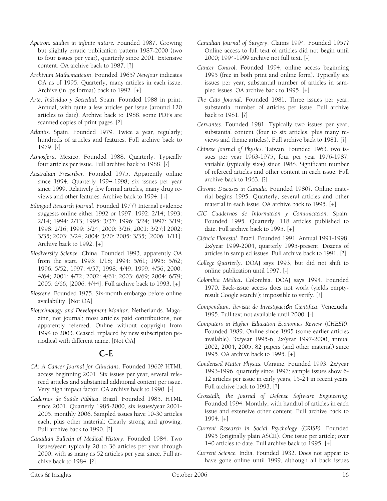- *Apeiron: studies in infinite nature.* Founded 1987. Growing but slightly erratic publication pattern 1987-2000 (two to four issues per year), quarterly since 2001. Extensive content. OA archive back to 1987. [?]
- *Archivum Mathematicum*. Founded 1965? *NewJour* indicates OA as of 1995. Quarterly, many articles in each issue. Archive (in .ps format) back to 1992. [+]
- *Arte, Individuo y Sociedad.* Spain. Founded 1988 in print. Annual, with quite a few articles per issue (around 120 articles to date). Archive back to 1988, some PDFs are scanned copies of print pages. [?]
- *Atlantis*. Spain. Founded 1979. Twice a year, regularly; hundreds of articles and features. Full archive back to 1979. [?]
- *Atmosfera*. Mexico. Founded 1988. Quarterly. Typically four articles per issue. Full archive back to 1988. [?]
- *Australian Prescriber*. Founded 1975. Apparently online since 1994. Quarterly 1994-1998; six issues per year since 1999. Relatively few formal articles, many drug reviews and other features. Archive back to 1994. [+]
- *Bilingual Research Journal*. Founded 1977? Internal evidence suggests online either 1992 or 1997. 1992: 2/14; 1993: 2/14; 1994: 2/13; 1995: 3/37; 1996: 3/24; 1997: 3/19; 1998: 2/16; 1999: 3/24; 2000: 3/26; 2001: 3/27;l 2002: 3/35; 2003: 3/24; 2004: 3/20; 2005: 3/35; [2006: 1/11]. Archive back to 1992. [+]
- *Biodiversity Science*. China. Founded 1993, apparently OA from the start. 1993: 1/18; 1994: 5/61; 1995: 5/62; 1996: 5/52; 1997: 4/57; 1998: 4/49; 1999: 4/56; 2000: 4/64; 2001: 4/72; 2002: 4/61; 2003: 6/69; 2004: 6/79; 2005: 6/66; [2006: 4/44]. Full archive back to 1993. [+]
- *Bioscene*. Founded 1975. Six-month embargo before online availability. [Not OA]
- *Biotechnology and Development Monitor*. Netherlands. Magazine, not journal; most articles paid contributions, not apparently refereed. Online without copyright from 1994 to 2003. Ceased, replaced by new subscription periodical with different name. [Not OA]

# C-E

- *CA: A Cancer Journal for Clinicians*. Founded 1960? HTML access beginning 2001. Six issues per year, several refereed articles and substantial additional content per issue. Very high impact factor. OA archive back to 1990. [-]
- *Cadernos de Saúde Pública*. Brazil. Founded 1985. HTML since 2001. Quarterly 1985-2000, six issues/year 2001- 2005, monthly 2006. Sampled issues have 10-30 articles each, plus other material: Clearly strong and growing. Full archive back to 1990. [?]
- *Canadian Bulletin of Medical History*. Founded 1984. Two issues/year; typically 20 to 36 articles per year through 2000, with as many as 52 articles per year since. Full archive back to 1984. [?]
- *Canadian Journal of Surgery*. Claims 1994. Founded 1957? Online access to full text of articles did not begin until 2000; 1994-1999 archive not full text. [-]
- *Cancer Control*. Founded 1994, online access beginning 1995 (free in both print and online form). Typically six issues per year, substantial number of articles in sampled issues. OA archive back to 1995. [+]
- *The Cato Journal*. Founded 1981. Three issues per year, substantial number of articles per issue. Full archive back to 1981. [?]
- *Cervantes*. Founded 1981. Typically two issues per year, substantial content (four to six articles, plus many reviews and theme articles). Full archive back to 1981. [?]
- *Chinese Journal of Physics*. Taiwan. Founded 1963. two issues per year 1963-1975, four per year 1976-1987, variable (typically six+) since 1988. Significant number of refereed articles and other content in each issue. Full archive back to 1963. [?]
- *Chronic Diseases in Canada*. Founded 1980?. Online material begins 1995. Quarterly, several articles and other material in each issue. OA archive back to 1995. [+]
- *CIC Cuadernos de Información y Comunicación*. Spain. Founded 1995. Quarterly. 118 articles published to date. Full archive back to 1995. [+]
- *Ciência Florestal*. Brazil. Founded 1991. Annual 1991-1998, 2x/year 1999-2004, quarterly 1995-present. Dozens of articles in sampled issues. Full archive back to 1991. [?]
- *College Quarterly*. DOAJ says 1993, but did not shift to online publication until 1997. [-]
- *Colombia Médica***.** Colombia. DOAJ says 1994. Founded 1970. Back-issue access does not work (yields emptyresult Google search!); impossible to verify. [?]
- *Compendium. Revista de Investigaci*ó*n Cientifica*. Venezuela. 1995. Full text not available until 2000. [-]
- *Computers in Higher Education Economics Review (CHEER)*. Founded 1989. Online since 1995 (some earlier articles available). 3x/year 1995-6, 2x/year 1997-2000, annual 2002, 2004, 2005. 82 papers (and other material) since 1995. OA archive back to 1995. [+]
- *Condensed Matter Physics.* Ukraine. Founded 1993. 2x/year 1993-1996, quarterly since 1997; sample issues show 6- 12 articles per issue in early years, 15-24 in recent years. Full archive back to 1993. [?]
- *Crosstalk, the Journal of Defense Software Engineering*. Founded 1994. Monthly, with handful of articles in each issue and extensive other content. Full archive back to 1994. [+]
- *Current Research in Social Psychology (CRISP).* Founded 1995 (originally plain ASCII). One issue per article; over 140 articles to date. Full archive back to 1995. [+]
- *Current Science.* India. Founded 1932. Does not appear to have gone online until 1999, although all back issues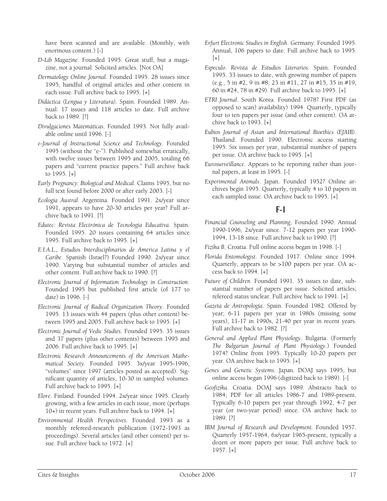have been scanned and are available. (Monthly, with enormous content.) [-]

- *D-Lib Magazine*. Founded 1995. Great stuff, but a magazine, not a journal: Solicited articles. [Not OA]
- *Dermatology Online Journal*. Founded 1995. 28 issues since 1995, handful of original articles and other content in each issue. Full archive back to 1995. [+]
- *Didáctica (Lengua y Literatura).* Spain. Founded 1989. Annual: 17 issues and 118 articles to date. Full archive back to 1989. [?]
- *Divulgaciones Matemáticas*. Founded 1993. Not fully available online until 1996. [-]
- *e-Journal of Instructional Science and Technology*. Founded 1995 (without the "e-"). Published somewhat erratically, with twelve issues between 1995 and 2005, totaling 66 papers and "current practice papers." Full archive back to 1995. [+]
- *Early Pregnancy: Biological and Medical.* Claims 1995, but no full text found before 2000 or after early 2003. [-]
- *Ecología Austral.* Argentina. Founded 1991. 2x/year since 1991, appears to have 20-30 articles per year? Full archive back to 1991. [?]
- *Edutec: Revista Electrónica de Tecnología Educativa*. Spain. Founded 1995. 20 issues containing 64 articles since 1995. Full archive back to 1995. [+]
- *E.I.A.L., Estudios Interdisciplinarios de America Latina y el Caribe*. Spanish (Israel?) Founded 1990. 2x/year since 1990. Varying but substantial number of articles and other content. Full archive back to 1990. [?]
- *Electronic Journal of Information Technology in Construction*. Founded 1995 but published first article (of 177 to date) in 1996. [-]
- *Electronic Journal of Radical Organization Theory*. Founded 1995. 13 issues with 44 papers (plus other content) between 1995 and 2005. Full archive back to 1995. [+]
- *Electronic Journal of Vedic Studies*. Founded 1995. 35 issues and 37 papers (plus other contents) between 1995 and 2006. Full archive back to 1995. [+]
- *Electronic Research Announcements of the American Mathematical Society.* Founded 1995. 3x/year 1995-1996, "volumes" since 1997 (articles posted as accepted). Significant quantity of articles, 10-30 in sampled volumes. Full archive back to 1995. [+]
- *Elore*. Finland. Founded 1994. 2x/year since 1995. Clearly growing, with a few articles in each issue, more (perhaps 10+) in recent years. Full archive back to 1994. [+]
- *Environmental Health Perspectives*. Founded 1993 as a monthly refereed-research publication (1972-1993 as proceedings). Several articles (and other content) per issue. Full archive back to 1972. [+]
- *Erfurt Electronic Studies in English*. Germany. Founded 1995. Annual, 106 papers to date. Full archive back to 1995.  $[+]$
- *Especulo. Revista de Estudios Literarios.* Spain. Founded 1995. 33 issues to date, with growing number of papers (e.g., 5 in #2, 9 in #8, 23 in #11, 27 in #15, 35 in #19, 60 in #24, 78 in #29). Full archive back to 1995. [+]
- *ETRI Journal*. South Korea. Founded 1978? First PDF (as opposed to scan) availability) 1994. Quarterly, typically four to ten papers per issue (and other content). OA archive back to 1993. [+]
- *Eubios Journal of Asian and International Bioethics (EJAIB)*. Thailand. Founded 1990. Electronic access starting 1995. Six issues per year, substantial number of papers per issue. OA archive back to 1995. [+]
- *Eurosurveillance*. Appears to be reporting rather than journal papers, at least in 1995. [-]
- *Experimental Animals*. Japan. Founded 1952? Online archives begin 1995. Quarterly, typically 4 to 10 papers in each sampled issue. OA archive back to 1995. [+]

#### F-I

- *Financial Counseling and Planning*. Founded 1990. Annual 1990-1996, 2x/year since. 7-12 papers per year 1990- 1994, 13-18 since. Full archive back to 1990. [?]
- *Fizika B*. Croatia. Full online access began in 1998. [-]
- *Florida Entomologist*. Founded 1917. Online since 1994. Quarterly, appears to be >100 papers per year. OA access back to 1994. [+]
- *Future of Children*. Founded 1991. 35 issues to date, substantial number of papers per issue. Solicited articles; refereed status unclear. Full archive back to 1991. [+]
- *Gazeta de Antropología*. Spain. Founded 1982. Offered by year; 6-11 papers per year in 1980s (missing some years), 11-17 in 1990s, 21-40 per year in recent years. Full archive back to 1982. [?]
- *General and Applied Plant Physiology*. Bulgaria. (Formerly *The Bulgarian Journal of Plant Physiology*.) Founded 1974? Online from 1995. Typically 10-20 papers per year. OA archive back to 1995. [+]
- *Genes and Genetic Systems*. Japan. DOAJ says 1995, but online access began 1996 (digitized back to 1989). [-]
- *Geofizika*. Croatia. DOAJ says 1989. Abstracts back to 1984; PDF for all articles 1986-7 and 1989-present. Typically 6-10 papers per year through 1992, 4-7 per year (or two-year period) since. OA archive back to 1989. [?]
- *IBM Journal of Research and Development.* Founded 1957. Quarterly 1957-1964, 6x/year 1965-present, typically a dozen or more papers per issue. Full archive back to 1957. [+]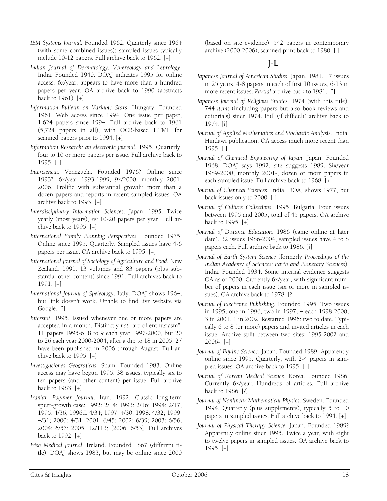- *IBM Systems Journal.* Founded 1962. Quarterly since 1964 (with some combined issues); sampled issues typically include 10-12 papers. Full archive back to 1962. [+]
- *Indian Journal of Dermatology, Venereology and Leprology*. India. Founded 1940. DOAJ indicates 1995 for online access. 6x/year, appears to have more than a hundred papers per year. OA archive back to 1990 (abstracts back to 1961). [+]
- *Information Bulletin on Variable Stars*. Hungary. Founded 1961. Web access since 1994. One issue per paper; 1,624 papers since 1994. Full archive back to 1961 (5,724 papers in all), with OCR-based HTML for scanned papers prior to 1994. [+]
- *Information Research: an electronic journal*. 1995. Quarterly, four to 10 or more papers per issue. Full archive back to 1995. [+]
- *Interciencia*. Venezuela. Founded 1976? Online since 1993?. 6x/year 1993-1999, 9x/2000, monthly 2001- 2006. Prolific with substantial growth; more than a dozen papers and reports in recent sampled issues. OA archive back to 1993. [+]
- *Interdisciplinary Information Sciences*. Japan. 1995. Twice yearly (most years), est.10-20 papers per year. Full archive back to 1995. [+]
- *International Family Planning Perspectives*. Founded 1975. Online since 1995. Quarterly. Sampled issues have 4-6 papers per issue. OA archive back to 1995. [+]
- *International Journal of Sociology of Agriculture and Food*. New Zealand. 1991. 13 volumes and 83 papers (plus substantial other content) since 1991. Full archives back to 1991. [+]
- *International Journal of Speleology*. Italy. DOAJ shows 1964, but link doesn't work. Unable to find live website via Google. [?]
- *Interstat*. 1995. Issued whenever one or more papers are accepted in a month. Distinctly *not* "arc of enthusiasm": 11 papers 1995-6, 8 to 9 each year 1997-2000, but 20 to 26 each year 2000-2004; after a dip to 18 in 2005, 27 have been published in 2006 through August. Full archive back to 1995. [+]
- *Investigaciones Geográficas*. Spain. Founded 1983. Online access may have begun 1995. 38 issues, typically six to ten papers (and other content) per issue. Full archive back to 1983. [+]
- *Iranian Polymer Journal*. Iran. 1992. Classic long-term spurt-growth case: 1992: 2/14; 1993: 2/16; 1994: 2/17; 1995: 4/36; 1996:L 4/34; 1997: 4/30; 1998: 4/32; 1999: 4/31; 2000: 4/31: 2001: 6/45; 2002: 6/39; 2003: 6/56; 2004: 6/57; 2005: 12/113; [2006: 6/53]. Full archives back to 1992. [+]
- *Irish Medical Journal*. Ireland. Founded 1867 (different title). DOAJ shows 1983, but may be online since 2000

(based on site evidence). 542 papers in contemporary archive (2000-2006), scanned print back to 1980. [-]

# J-L

- *Japanese Journal of American Studies*. Japan. 1981. 17 issues in 25 years, 4-8 papers in each of first 10 issues, 6-13 in more recent issues. *Partial* archive back to 1981. [?]
- *Japanese Journal of Religious Studies.* 1974 (with this title). 744 *items* (including papers but also book reviews and editorials) since 1974. Full (if difficult) archive back to 1974. [?]
- *Journal of Applied Mathematics and Stochastic Analysis*. India. Hindawi publication, OA access much more recent than 1995. [-]
- *Journal of Chemical Engineering of Japan*. Japan. Founded 1968. DOAJ says 1992, site suggests 1989. Six/year 1989-2000, monthly 2001-, dozen or more papers in each sampled issue. Full archive back to 1968. [+]
- *Journal of Chemical Sciences*. India. DOAJ shows 1977, but back issues only to 2000. [-]
- *Journal of Culture Collections*. 1995. Bulgaria. Four issues between 1995 and 2005, total of 45 papers. OA archive back to 1995. [+]
- *Journal of Distance Education*. 1986 (came online at later date). 32 issues 1986-2004; sampled issues have 4 to 8 papers each. Full archive back to 1986. [?]
- *Journal of Earth System Science* (formerly *Proceedings of the Indian Academy of Sciences: Earth and Planetary Sciences*). India. Founded 1934. Some internal evidence suggests OA as of 2000. Currently 6x/year, with significant number of papers in each issue (six or more in sampled issues). OA archive back to 1978. [?]
- *Journal of Electronic Publishing*. Founded 1995. Two issues in 1995, one in 1996, two in 1997, 4 each 1998-2000, 3 in 2001, 1 in 2002. Restarted 1996: two to date. Typically 6 to 8 (or more) papers and invited articles in each issue. Archive split between two sites: 1995-2002 and 2006-. [+]
- *Journal of Equine Science*. Japan. Founded 1989. Apparently online since 1995. Quarterly, with 2-4 papers in sampled issues. OA archive back to 1995. [+]
- *Journal of Korean Medical Science*. Korea. Founded 1986. Currently 6x/year. Hundreds of articles. Full archive back to 1986. [?]
- *Journal of Nonlinear Mathematical Physics*. Sweden. Founded 1994. Quarterly (plus supplements), typically 5 to 10 papers in sampled issues. Full archive back to 1994. [+]
- *Journal of Physical Therapy Science*. Japan. Founded 1989? Apparently online since 1995. Twice a year, with eight to twelve papers in sampled issues. OA archive back to 1995. [+]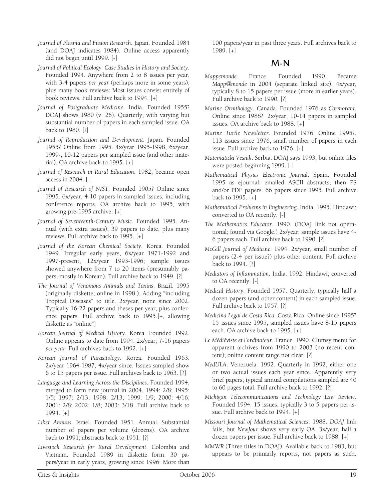- *Journal of Plasma and Fusion Research*. Japan. Founded 1984 (and DOAJ indicates 1984). Online access apparently did not begin until 1999. [-]
- *Journal of Political Ecology: Case Studies in History and Society*. Founded 1994. Anywhere from 2 to 8 issues per year, with 3-4 papers *per year* (perhaps more in some years), plus many book reviews: Most issues consist entirely of book reviews. Full archive back to 1994. [+]
- *Journal of Postgraduate Medicine*. India. Founded 1955? DOAJ shows 1980 (v. 26). Quarterly, with varying but substantial number of papers in each sampled issue. OA back to 1980. [?]
- *Journal of Reproduction and Development*. Japan. Founded 1955? Online from 1995. 4x/year 1995-1998, 6x/year, 1999-, 10-12 papers per sampled issue (and other material). OA archive back to 1995. [+]
- *Journal of Research in Rural Education*. 1982, became open access in 2004. [-]
- *Journal of Research of NIST*. Founded 1905? Online since 1995. 6x/year, 4-10 papers in sampled issues, including conference reports. OA archive back to 1995, with growing pre-1995 archive. [+]
- *Journal of Seventeenth*-*Century Music*. Founded 1995. Annual (with extra issues), 39 papers to date, plus many reviews. Full archive back to 1995. [+]
- *Journal of the Korean Chemical Society*. Korea. Founded 1949. Irregular early years, 6x/year 1971-1992 and 1997-present, 12x/year 1993-1996; sample issues showed anywhere from 7 to 20 items (presumably papers; mostly in Korean). Full archive back to 1949. [?]
- *The Journal of Venomous Animals and Toxins*. Brazil. 1995 (originally diskette; online in 1998.). Adding "including Tropical Diseases" to title. 2x/year, none since 2002. Typically 16-22 papers and theses per year, plus conference papers. Full archive back to 1995.[+, allowing diskette as "online"]
- *Korean Journal of Medical History*. Korea. Founded 1992. Online appears to date from 1994. 2x/year; 7-16 papers *per year*. Full archives back to 1992. [+]
- *Korean Journal of Parasitology*. Korea. Founded 1963. 2x/year 1964-1987, 4x/year since. Issues sampled show 6 to 15 papers per issue. Full archives back to 1963. [?]
- *Language and Learning Across the Disciplines*. Founded 1994, merged to form new journal in 2004. 1994: 2/8; 1995: 1/5; 1997: 2/13; 1998: 2/13; 1999: 1/9; 2000: 4/16; 2001: 2/8; 2002: 1/8; 2003: 3/18. Full archive back to 1994. [+]
- *Liber Annuus*. Israel. Founded 1951. Annual. Substantial number of papers per volume (dozens). OA archive back to 1991; abstracts back to 1951. [?]
- *Livestock Research for Rural Development*. Colombia and Vietnam. Founded 1989 in diskette form. 30 papers/year in early years, growing since 1996: More than

100 papers/year in past three years. Full archives back to 1989. [+]

#### M-N

- *Mappemonde*. France. Founded 1990. Became *Mapp@monde* in 2004 (separate linked site). 4x/year, typically 8 to 15 papers per issue (more in earlier years). Full archive back to 1990. [?]
- *Marine Ornithology*. Canada. Founded 1976 as *Cormorant*. Online since 1988?. 2x/year, 10-14 papers in sampled issues. OA archive back to 1988. [+]
- *Marine Turtle Newsletter*. Founded 1976. Online 1995?. 113 issues since 1976, small number of papers in each issue. Full archive back to 1976. [+]
- *Matematicki Vesnik*. Serbia. DOAJ says 1993, but online files were posted beginning 1999. [-]
- *Mathematical Physics Electronic Journal*. Spain. Founded 1995 as ejournal: emailed ASCII abstracts, then PS and/or PDF papers. 66 papers since 1995. Full archive back to 1995. [+]
- *Mathematical Problems in Engineering*. India. 1995. Hindawi; converted to OA recently. [-]
- *The Mathematics Educator*. 1990. (DOAJ link not operational; found via Google.) 2x/year; sample issues have 4- 6 papers each. Full archive back to 1990. [?]
- *McGill Journal of Medicine*. 1994. 2x/year, small number of papers (2-4 per issue?) plus other content. Full archive back to 1994. [?]
- *Mediators of Inflammation*. India. 1992. Hindawi; converted to OA recently. [-]
- *Medical History*. Founded 1957. Quarterly, typically half a dozen papers (and other content) in each sampled issue. Full archive back to 1957. [?]
- *Medicina Legal de Costa Rica*. Costa Rica. Online since 1995? 15 issues since 1995, sampled issues have 8-15 papers each. OA archive back to 1995. [+]
- *Le Médiéviste et l'ordinateur*. France. 1990. Clumsy menu for apparent archives from 1990 to 2003 (no recent content); online content range not clear. [?]
- *MedULA*. Venezuela. 1992. Quarterly in 1992, either one or two actual issues each year since. Apparently very brief papers; typical annual compilations sampled are 40 to 60 pages total. Full archive back to 1992. [?]
- *Michigan Telecommunications and Technology Law Review*. Founded 1994. 15 issues, typically 3 to 5 papers per issue. Full archive back to 1994. [+]
- *Missouri Journal of Mathematical Sciences*. 1988. *DOAJ* link fails, but *NewJour* shows very early OA. 3x/year, half a dozen papers per issue. Full archive back to 1988. [+]
- *MMWR* (Three titles in DOAJ). Available back to 1983, but appears to be primarily reports, not papers as such.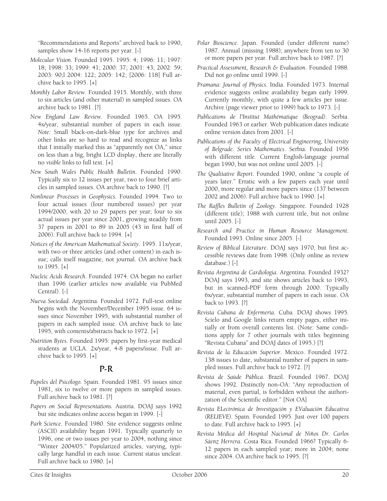"Recommendations and Reports" archived back to 1990, samples show 14-16 reports per year. [-]

- *Molecular Vision*. Founded 1995. 1995: 4; 1996: 11; 1997: 18; 1998: 33; 1999: 41; 2000: 37; 2001: 43; 2002: 59; 2003: 90;l 2004: 122; 2005: 142; [2006: 118] Full archive back to 1995. [+]
- *Monthly Labor Review*. Founded 1915. Monthly, with three to six articles (and other material) in sampled issues. OA archive back to 1981. [?]
- *New England Law Review*. Founded 1965. OA 1995. 4x/year, substantial number of papers in each issue. *Note:* Small black-on-dark-blue type for archives and other links are so hard to read and recognize as links that I initially marked this as "apparently not OA," since on less than a big, bright LCD display, there are literally no *visible* links to full text. [+]
- *New South Wales Public Health Bulletin*. Founded 1990. Typically six to 12 issues per year, two to four brief articles in sampled issues. OA archive back to 1990. [?]
- *Nonlinear Processes in Geophysics*. Founded 1994. Two to four actual issues (four numbered issues) per year 1994/2000, with 20 to 29 papers per year; four to six actual issues per year since 2001, growing steadily from 37 papers in 2001 to 89 in 2005 (43 in first half of 2006). Full archive back to 1994. [+]
- *Notices of the American Mathematical Society*. 1995. 11x/year, with two or three articles (and other content) in each issue; calls itself magazine, not journal. OA archive back to 1995. [+]
- *Nucleic Acids Research*. Founded 1974. OA began no earlier than 1996 (earlier articles now available via PubMed Central). [-]
- *Nueva Sociedad*. Argentina. Founded 1972. Full-text online begins with the November/December 1995 issue. 64 issues since November 1995, with substantial number of papers in each sampled issue. OA archive back to late 1995, with contents/abstracts back to 1972. [+]
- *Nutrition Bytes*. Founded 1995: papers by first-year medical students at UCLA. 2x/year, 4-8 papers/issue. Full archive back to 1995. [+]

#### P-R

- *Papeles del Psicólogo.* Spain. Founded 1981. 95 issues since 1981, six to twelve or more papers in sampled issues. Full archive back to 1981. [?]
- *Papers on Social Representations.* Austria. DOAJ says 1992 but site indicates online access began in 1999. [-]
- *Park Science*. Founded 1980. Site evidence suggests online (ASCII) availability began 1991. Typically quarterly to 1996, one or two issues per year to 2004, nothing since "Winter 2004/05." Popularized articles, varying, typically large handful in each issue. Current status unclear. Full archive back to 1980. [+]
- *Polar Bioscience*. Japan. Founded (under different name) 1987. Annual (missing 1988); anywhere from ten to 30 or more papers per year. Full archive back to 1987. [?]
- *Practical Assessment, Research & Evaluation*. Founded 1988. Did not go online until 1999. [-]
- *Pramana*: *Journal of Physics*. India. Founded 1973. Internal evidence suggests online availability began early 1999. Currently monthly, with quite a few articles per issue. Archive (page viewer prior to 1999) back to 1973. [-]
- *Publications de l'Institut Mathématique (Beograd)*. Serbia. Founded 1963 or earlier. Web publication dates indicate online version dates from 2001. [-]
- *Publications of the Faculty of Electrical Engineering, University of Belgrade. Series Mathematics*. Serbia. Founded 1956 with different title. Current English-language journal began 1990, but was not online until 2005. [-]
- *The Qualitative Report*. Founded 1990, online "a couple of years later." Erratic with a few papers each year until 2000, more regular and more papers since (137 between 2002 and 2006). Full archive back to 1990. [+]
- *The Raffles Bulletin of Zoology*. Singapore. Founded 1928 (different title); 1988 with current title, but not online until 2005. [-]
- *Research and Practice in Human Resource Management*. Founded 1993. Online since 2005. [-]
- *Review of Biblical Literature*. DOAJ says 1970, but first accessible reviews date from 1998. (Only online as review database.) [-]
- *Revista Argentina de Cardiologia*. Argentina. Founded 1932? DOAJ says 1993, and site shows articles back to 1993, but in scanned-PDF form through 2000. Typically 6x/year, substantial number of papers in each issue. OA back to 1993. [?]
- *Revista Cubana de Enfermería*. Cuba. DOAJ shows 1995. Scielo and Google links return empty pages, either initially or from overall contents list. (Note: Same conditions apply for 7 other journals with titles beginning "Revista Cubana" and DOAJ dates of 1995.) [?]
- *Revista de la Educación Superior*. Mexico. Founded 1972. 138 issues to date, substantial number of papers in sampled issues. Full archive back to 1972. [?]
- *Revista de Saúde Pública*. Brazil. Founded 1967. DOAJ shows 1992. Distinctly non-OA: "Any reproduction of material, even partial, is forbidden without the authorization of the Scientific editor." [Not OA]
- *Revista ELectrónica de Investigación y EValuaciòn Educativa (RELIEVE).* Spain. Founded 1995. Just over 100 papers to date. Full archive back to 1995. [+]
- *Revista Médica del Hospital Nacional de Niños Dr. Carlos Sáenz Herrera*. Costa Rica. Founded 1966? Typically 6- 12 papers in each sampled year; more in 2004; none since 2004. OA archive back to 1995. [?]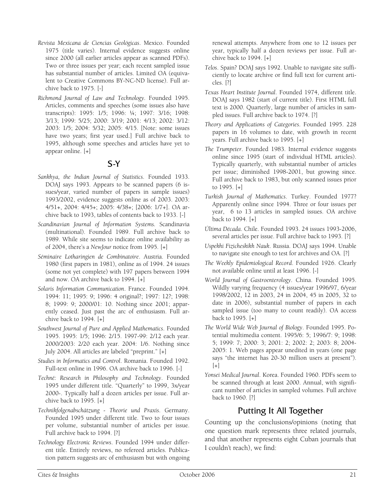- *Revista Mexicana de Ciencias Geológicas*. Mexico. Founded 1975 (title varies). Internal evidence suggests online since 2000 (all earlier articles appear as scanned PDFs). Two or three issues per year; each recent sampled issue has substantial number of articles. Limited OA (equivalent to Creative Commons BY-NC-ND license). Full archive back to 1975. [-]
- *Richmond Journal of Law and Technology.* Founded 1995. Articles, comments and speeches (some issues also have transcripts): 1995: 1/5; 1996: ¼; 1997: 3/16; 1998: 3/13; 1999: 5/25; 2000: 3/19; 2001: 4/13; 2002: 3/12: 2003: 1/5; 2004: 5/32; 2005: 4/15. [Note: some issues have two years; first year used.] Full archive back to 1995, although some speeches and articles have yet to appear online. [+]

# S-Y

- *Sankhya, the Indian Journal of Statistics*. Founded 1933. DOAJ says 1993. Appears to be scanned papers (6 issues/year, varied number of papers in sample issues) 1993/2002, evidence suggests online as of 2003. 2003: 4/51+, 2004: 4/45+; 2005: 4/38+; [2006: 1/7+]. OA archive back to 1993, tables of contents back to 1933. [-]
- *Scandinavian Journal of Information Systems.* Scandinavia (multinational). Founded 1989. Full archive back to 1989. While site seems to indicate online availability as of 2004, there's a *NewJour* notice from 1995. [+]
- *Séminaire Lotharingien de Combinatoire*. Austria. Founded 1980 (first papers in 1981), online as of 1994. 24 issues (some not yet complete) with 197 papers between 1994 and now. OA archive back to 1994. [+]
- *Solaris Information Communication*. France. Founded 1994. 1994: 11; 1995: 9; 1996: 4 original?; 1997: 12?; 1998: 8; 1999: 9; 2000/01: 10. Nothing since 2001; apparently ceased. Just past the arc of enthusiasm. Full archive back to 1994. [+]
- *Southwest Journal of Pure and Applied Mathematics*. Founded 1995. 1995: 1/5; 1996: 2/15. 1997-99: 2/12 each year. 2000/2003: 2/20 each year. 2004: 1/6. Nothing since July 2004. All articles are labeled "preprint." [+]
- *Studies in Informatics and Control*. Romania. Founded 1992. Full-text online in 1996. OA archive back to 1996. [-]
- *Techné: Research in Philosophy and Technology*. Founded 1995 under different title. "Quarterly" to 1999, 3x/year 2000-. Typically half a dozen articles per issue. Full archive back to 1995. [+]
- *Technikfolgenabschätzung Theorie und Praxis*. Germany. Founded 1995 under different title. Two to four issues per volume, substantial number of articles per issue. Full archive back to 1994. [?]
- *Technology Electronic Reviews*. Founded 1994 under different title. Entirely reviews, no refereed articles. Publication pattern suggests arc of enthusiasm but with ongoing

renewal attempts. Anywhere from one to 12 issues per year, typically half a dozen reviews per issue. Full archive back to 1994. [+]

- *Telos*. Spain? DOAJ says 1992. Unable to navigate site sufficiently to locate archive or find full text for current articles. [?]
- *Texas Heart Institute Journal*. Founded 1974, different title. DOAJ says 1982 (start of current title). First HTML full text is 2000. Quarterly, large number of articles in sampled issues. Full archive back to 1974. [?]
- *Theory and Applications of Categories*. Founded 1995. 228 papers in 16 volumes to date, with growth in recent years. Full archive back to 1995. [+]
- *The Trumpeter*. Founded 1983. Internal evidence suggests online since 1995 (start of individual HTML articles). Typically quarterly, with substantial number of articles per issue; diminished 1998-2001, but growing since. Full archive back to 1983, but only scanned issues prior to 1995. [+]
- *Turkish Journal of Mathematics*. Turkey. Founded 1977? Apparently online since 1994. Three or four issues per year, 6 to 13 articles in sampled issues. OA archive back to 1994. [+]
- *Última Década*. Chile. Founded 1993. 24 issues 1993-2006, several articles per issue. Full archive back to 1993. [?]
- *Uspekhi Fizicheskikh Nauk*. Russia. DOAJ says 1994. Unable to navigate site enough to test for archives and OA. [?]
- *The Weekly Epidemiological Record*. Founded 1926. Clearly not available online until at least 1996. [-]
- *World Journal of Gastroenterology*. China. Founded 1995. Wildly varying frequency (4 issues/year 1996/97, 6/year 1998/2002, 12 in 2003, 24 in 2004, 45 in 2005, 32 to date in 2006), substantial number of papers in each sampled issue (too many to count readily). OA access back to 1995. [+]
- *The World Wide Web Journal of Biology*. Founded 1995. Potential multimedia content. 1995/6: 5; 1996/7: 9; 1998: 5; 1999: 7; 2000: 3; 2001: 2; 2002: 2; 2003: 8; 2004- 2005: 1. Web pages appear unedited in years (one page says "the internet has 20-30 million users at present").  $[+]$
- *Yonsei Medical Journal*. Korea. Founded 1960. PDFs seem to be scanned through at least 2000. Annual, with significant number of articles in sampled volumes. Full archive back to 1960. [?]

# Putting It All Together

Counting up the conclusions/opinions (noting that one question mark represents three related journals, and that another represents eight Cuban journals that I couldn't reach), we find: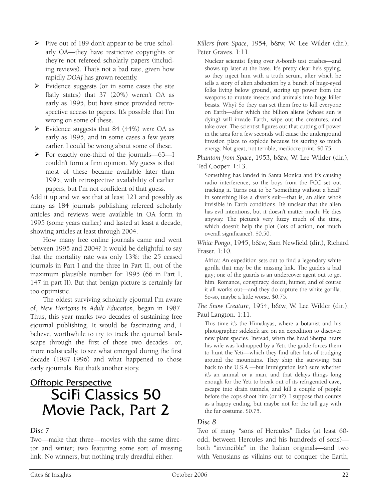- $\triangleright$  Five out of 189 don't appear to be true scholarly OA—they have restrictive copyrights or they're not refereed scholarly papers (including reviews). That's not a bad rate, given how rapidly *DOAJ* has grown recently.
- $\triangleright$  Evidence suggests (or in some cases the site flatly states) that 37 (20%) weren't OA as early as 1995, but have since provided retrospective access to papers. It's possible that I'm wrong on some of these.
- ¾ Evidence suggests that 84 (44%) *were* OA as early as 1995, and in some cases a few years earlier. I could be wrong about some of these.
- ¾ For exactly one-third of the journals—63—I couldn't form a firm opinion. My guess is that most of these became available later than 1995, with retrospective availability of earlier papers, but I'm not confident of that guess.

Add it up and we see that at least 121 and possibly as many as 184 journals publishing refereed scholarly articles and reviews were available in OA form in 1995 (some years earlier) and lasted at least a decade, showing articles at least through 2004.

How many free online journals came and went between 1995 and 2004? It would be delightful to say that the mortality rate was only 13%: the 25 ceased journals in Part I and the three in Part II, out of the maximum plausible number for 1995 (66 in Part I, 147 in part II). But that benign picture is certainly far too optimistic.

The oldest surviving scholarly ejournal I'm aware of, *New Horizons in Adult Education*, began in 1987. Thus, this year marks two decades of sustaining free ejournal publishing. It would be fascinating and, I believe, worthwhile to try to track the ejournal landscape through the first of those two decades—or, more realistically, to see what emerged during the first decade (1987-1996) and what happened to those early ejournals. But that's another story.

# **Offtopic Perspective** SciFi Classics 50 Movie Pack, Part 2

#### *Disc 7*

Two—make that three—movies with the same director and writer; two featuring some sort of missing link. No winners, but nothing truly dreadful either.

*Killers from Space*, 1954, b&w, W. Lee Wilder (dir.), Peter Graves. 1:11.

Nuclear scientist flying over A-bomb test crashes—and shows up later at the base. It's pretty clear he's spying, so they inject him with a truth serum, after which he tells a story of alien abduction by a bunch of huge-eyed folks living below ground, storing up power from the weapons to mutate insects and animals into huge killer beasts. Why? So they can set them free to kill everyone on Earth—after which the billion aliens (whose sun is dying) will invade Earth, wipe out the creatures, and take over. The scientist figures out that cutting off power in the area for a few seconds will cause the underground invasion place to explode because it's storing so much energy. Not great, not terrible, mediocre print. \$0.75.

*Phantom from Space*, 1953, b&w, W. Lee Wilder (dir.), Ted Cooper. 1:13.

Something has landed in Santa Monica and it's causing radio interference, so the boys from the FCC set out tracking it. Turns out to be "something without a head" in something like a diver's suit—that is, an alien who's invisible in Earth conditions. It's unclear that the alien has evil intentions, but it doesn't matter much: He dies anyway. The picture's very fuzzy much of the time, which doesn't help the plot (lots of action, not much overall significance). \$0.50.

*White Pongo*, 1945, b&w, Sam Newfield (dir.), Richard Fraser. 1:10.

Africa: An expedition sets out to find a legendary white gorilla that may be the missing link. The guide's a bad guy; one of the guards is an undercover agent out to get him. Romance, conspiracy, deceit, humor, and of course it all works out—and they do capture the white gorilla. So-so, maybe a little worse. \$0.75.

*The Snow Creature*, 1954, b&w, W. Lee Wilder (dir.), Paul Langton. 1:11.

This time it's the Himalayas, where a botanist and his photographer sidekick are on an expedition to discover new plant species. Instead, when the head Sherpa hears his wife was kidnapped by a Yeti, the guide forces them to hunt the Yeti—which they find after lots of trudging around the mountains. They ship the surviving Yeti back to the U.S.A.—but Immigration isn't sure whether it's an animal or a man, and that delays things long enough for the Yeti to break out of its refrigerated cave, escape into drain tunnels, and kill a couple of people before the cops shoot him (or it?). I suppose that counts as a happy ending, but maybe not for the tall guy with the fur costume. \$0.75.

#### *Disc 8*

Two of many "sons of Hercules" flicks (at least 60 odd, between Hercules and his hundreds of sons) both "invincible" in the Italian originals—and two with Venusians as villains out to conquer the Earth,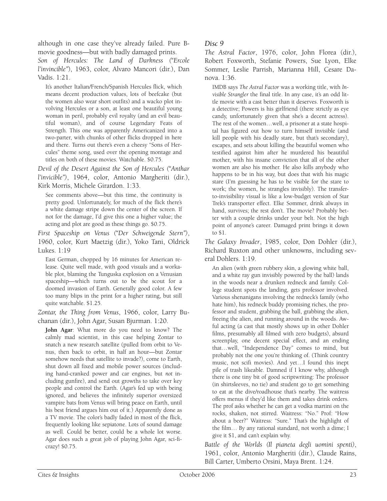although in one case they've already failed. Pure Bmovie goodness—but with badly damaged prints.

*Son of Hercules: The Land of Darkness ("Ercole l'invincible"*), 1963, color, Alvaro Mancori (dir.), Dan Vadis. 1:21.

It's another Italian/French/Spanish Hercules flick, which means decent production values, lots of beefcake (but the women also wear short outfits) and a wacko plot involving Hercules or a son, at least one beautiful young woman in peril, probably evil royalty (and an evil beautiful woman), and of course Legendary Feats of Strength. This one was apparently Americanized into a two-parter, with chunks of other flicks dropped in here and there. Turns out there's even a cheesy "Sons of Hercules" theme song, used over the opening montage and titles on both of these movies. Watchable. \$0.75.

*Devil of the Desert Against the Son of Hercules ("Anthar l'invicible")*, 1964, color, Antonio Margheriti (dir.), Kirk Morris, Michele Girardon. 1:33.

See comments above—but this time, the continuity is pretty good. Unfortunately, for much of the flick there's a white damage stripe down the center of the screen. If not for the damage, I'd give this one a higher value; the acting and plot are good as these things go. \$0.75.

*First Spaceship on Venus ("Der Schweigende Stern")*, 1960, color, Kurt Maetzig (dir.), Yoko Tani, Oldrick Lukes. 1:19

East German, chopped by 16 minutes for American release. Quite well made, with good visuals and a workable plot, blaming the Tunguska explosion on a Venusian spaceship—which turns out to be the scout for a doomed invasion of Earth. Generally good color. A few too many blips in the print for a higher rating, but still quite watchable. \$1.25.

*Zontar, the Thing from Venus*, 1966, color, Larry Buchanan (dir.), John Agar, Susan Bjurman. 1:20.

**John Agar**: What more do you need to know? The calmly mad scientist, in this case helping Zontar to snatch a new research satellite (pulled from orbit to Venus, then back to orbit, in half an hour—but Zontar somehow needs that satellite to invade?), come to Earth, shut down all fixed and mobile power sources (including hand-cranked power and car engines, but *not* including gunfire), and send out growths to take over key people and control the Earth. (Agar's fed up with being ignored, and believes the infinitely superior oversized vampire bats from Venus will bring peace on Earth, until his best friend argues him out of it.) Apparently done as a TV movie. The color's badly faded in most of the flick, frequently looking like sepiatone. Lots of sound damage as well. Could be better, could be a whole lot worse. Agar does such a great job of playing John Agar, sci-ficrazy! \$0.75.

#### *Disc 9*

*The Astral Factor*, 1976, color, John Florea (dir.), Robert Foxworth, Stefanie Powers, Sue Lyon, Elke Sommer, Leslie Parrish, Marianna Hill, Cesare Danova. 1:36.

IMDB says *The Astral Factor* was a working title, with *Invisible Strangler* the final title. In any case, it's an odd little movie with a cast better than it deserves. Foxworth is a detective; Powers is his girlfriend (there strictly as eye candy, unfortunately given that she's a decent actress). The rest of the women…well, a prisoner at a state hospital has figured out how to turn himself invisible (and kill people with his deadly stare, but that's secondary), escapes, and sets about killing the beautiful women who testified against him after he murdered his beautiful mother, with his insane conviction that all of the other women are also his mother. He also kills anybody who happens to be in his way, but does that with his magic stare (I'm guessing he has to be visible for the stare to work; the women, he strangles invisibly). The transferto-invisibility visual is like a low-budget version of Star Trek's transporter effect. Elke Sommer, drink always in hand, survives; the rest don't. The movie? Probably better with a couple drinks under your belt. Not the high point of anyone's career. Damaged print brings it down to \$1.

*The Galaxy Invader*, 1985, color, Don Dohler (dir.), Richard Ruxton and other unknowns, including several Dohlers. 1:19.

An alien (with green rubbery skin, a glowing white ball, and a white ray gun invisibly powered by the ball) lands in the woods near a drunken redneck and family. College student spots the landing, gets professor involved. Various shenanigans involving the redneck's family (who hate him), his redneck buddy promising riches, the professor and student, grabbing the ball, grabbing the alien, freeing the alien, and running around in the woods. Awful acting (a cast that mostly shows up in other Dohler films, presumably all filmed with zero budgets), absurd screenplay, one decent special effect, and an ending that…well, "Independence Day" comes to mind, but probably not the one you're thinking of. (Think country music, not scifi movies). And yet…I found this inept pile of trash likeable. Damned if I know why, although there is one tiny bit of good scriptwriting: The professor (in shirtsleeves, no tie) and student go to get something to eat at the dive/roadhouse that's nearby. The waitress offers menus if they'd like them and takes drink orders. The prof asks whether he can get a vodka martini on the rocks, shaken, not stirred. Waitress: "No." Prof: "How about a beer?" Waitress: "Sure." That's the highlight of the film… By any rational standard, not worth a dime; I give it \$1, and can't explain why.

*Battle of the Worlds (Il pianeta degli uomini spenti)*, 1961, color, Antonio Margheriti (dir.), Claude Rains, Bill Carter, Umberto Orsini, Maya Brent. 1:24.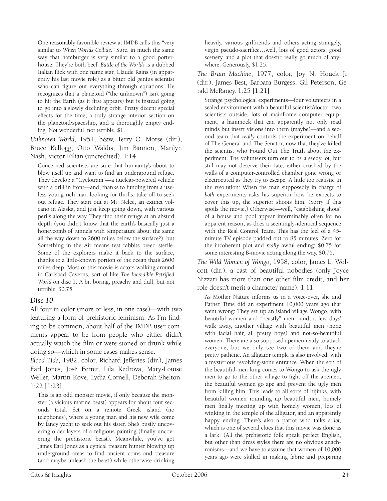One reasonably favorable review at IMDB calls this "very similar to *When Worlds Collide*." Sure, in much the same way that hamburger is very similar to a good porterhouse: They're both beef. *Battle of the Worlds* is a dubbed Italian flick with one name star, Claude Rains (in apparently his last movie role) as a bitter old genius scientist who can figure out everything through equations. He recognizes that a planetoid ("the unknown") isn't going to hit the Earth (as it first appears) but is instead going to go into a slowly declining orbit. Pretty decent special effects for the time, a truly strange interior section on the planetoid/spaceship, and a thoroughly empty ending. Not wonderful, not terrible. \$1.

*Unknown World*, 1951, b&w, Terry O. Morse (dir.), Bruce Kellogg, Otto Waldis, Jim Bannon, Marilyn Nash, Victor Kilian (uncredited). 1:14.

Concerned scientists are sure that humanity's about to blow itself up and want to find an underground refuge. They develop a "Cyclotram"—a nuclear-powered vehicle with a drill in front—and, thanks to funding from a useless young rich man looking for thrills, take off to seek out refuge. They start out at Mt. Nelee, an extinct volcano in Alaska, and just keep going down, with various perils along the way. They find their refuge at an absurd depth (you didn't know that the earth's basically just a honeycomb of tunnels with temperature about the same all the way down to 2600 miles below the surface?), but Something in the Air means test rabbits breed sterile. Some of the explorers make it back to the surface, thanks to a little-known portion of the ocean that's 2600 miles deep. Most of this movie is actors walking around in Carlsbad Caverns, sort of like *The Incredible Petrified World* on disc 1. A bit boring, preachy and dull, but not terrible. \$0.75.

#### *Disc 10*

All four in color (more or less, in one case)—with two featuring a form of prehistoric feminism. As I'm finding to be common, about half of the IMDB user comments appear to be from people who either didn't actually watch the film or were stoned or drunk while doing so—which in some cases makes sense.

*Blood Tide*, 1982, color, Richard Jefferies (dir.), James Earl Jones, José Ferrer, Lila Kedrova, Mary-Louise Weller, Martin Kove, Lydia Cornell, Deborah Shelton. 1:22 [1:23]

This is an odd monster movie, if only because the monster (a vicious marine beast) appears for about four seconds total. Set on a remote Greek island (no telephones), where a young man and his new wife come by fancy yacht to seek out his sister. She's busily uncovering older layers of a religious painting (finally uncovering the prehistoric beast). Meanwhile, you've got James Earl Jones as a cynical treasure hunter blowing up underground areas to find ancient coins and treasure (and maybe unleash the beast) while otherwise drinking

heavily, various girlfriends and others acting strangely, virgin pseudo-sacrifice…well, lots of good actors, good scenery, and a plot that doesn't really go much of anywhere. Generously, \$1.25.

*The Brain Machine*, 1977, color, Joy N. Houck Jr. (dir.), James Best, Barbara Burgess, Gil Peterson, Gerald McRaney. 1:25 [1:21]

Strange psychological experiments—four volunteers in a sealed environment with a beautiful scientist/doctor, two scientists outside, lots of mainframe computer equipment, a hammock that can apparently not only read minds but insert visions into them (maybe)—and a second team that *really* controls the experiment on behalf of The General and The Senator, now that they've killed the scientist who Found Out The Truth about the experiment. The volunteers turn out to be a seedy lot, but still may not deserve their fate, either crushed by the walls of a computer-controlled chamber gone wrong or electrocuted as they try to escape. A little too realistic in the resolution: When the man supposedly in charge of *both* experiments asks his superior how he expects to cover this up, the superior shoots him. (Sorry if this spoils the movie.) Otherwise—well, "establishing shots" of a house and pool appear interminably often for no apparent reason, as does a seemingly-identical sequence with the Real Control Team. This has the feel of a 45 minute TV episode padded out to 85 minutes. Zero for the incoherent plot and *really* awful ending; \$0.75 for some interesting B-movie acting along the way. \$0.75.

*The Wild Women of Wongo*, 1958, color, James L. Wolcott (dir.), a cast of beautiful nobodies (only Joyce Nizzari has more than one other film credit, and her role doesn't merit a character name). 1:11

As Mother Nature informs us in a voice-over, she and Father Time did an experiment 10,000 years ago that went wrong: They set up an island village Wongo, with beautiful women and "beastly" men—and, a few days' walk away, another village with beautiful men (none with facial hair, all pretty boys) and not-so-beautiful women. There are also supposed apemen ready to attack everyone, but we only see two of them and they're pretty pathetic. An alligator temple is also involved, with a mysterious revolving-stone entrance. When the son of the beautiful-men king comes to Wongo to ask the ugly men to go to the other village to fight off the apemen, the beautiful women go ape and prevent the ugly men from killing him. This leads to all sorts of hijinks, with beautiful women rounding up beautiful men, homely men finally meeting up with homely women, lots of winking in the temple of the alligator, and an apparently happy ending. There's also a parrot who talks a *lot*, which is one of several clues that this movie was done as a lark. (All the prehistoric folk speak perfect English, but other than dress styles there are no obvious anachronisms—and we have to assume that women of 10,000 years ago were skilled in making fabric and preparing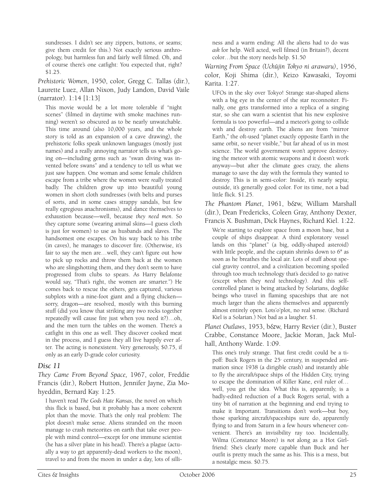sundresses. I didn't see any zippers, buttons, or seams; give them credit for this.) Not exactly serious anthropology, but harmless fun and fairly well filmed. Oh, and of course there's one catfight: You expected that, right? \$1.25.

*Prehistoric Women*, 1950, color, Gregg C. Tallas (dir.), Laurette Luez, Allan Nixon, Judy Landon, David Vaile (narrator). 1:14 [1:13]

This movie would be a lot more tolerable if "night scenes" (filmed in daytime with smoke machines running) weren't so obscured as to be nearly unwatchable. This time around (also 10,000 years, and the whole story is told as an expansion of a cave drawing), the prehistoric folks speak unknown languages (mostly just names) and a really annoying narrator tells us what's going on—including gems such as "swan diving was invented before swans" and a tendency to tell us what we just saw happen. One woman and some female children escape from a tribe where the women were *really* treated badly. The children grow up into beautiful young women in short cloth sundresses (with belts and purses of sorts, and in some cases strappy sandals, but few really egregious anachronisms), and dance themselves to exhaustion because—well, because *they need men*. So they capture some (wearing animal skins—I guess cloth is just for women) to use as husbands and slaves. The handsomest one escapes. On his way back to his tribe (in caves), he manages to discover fire. (Otherwise, it's fair to say the men are…well, they can't figure out how to pick up rocks and throw them back at the women who are slingshotting them, and they don't seem to have progressed from clubs to spears. As Harry Belafonte would say, "That's right, the women are smarter.") He comes back to rescue the others, gets captured, various subplots with a nine-foot giant and a flying chicken sorry, dragon—are resolved, mostly with this burning stuff (did you know that striking any two rocks together repeatedly will cause fire just when you need it?)…oh, and the men turn the tables on the women. There's a catfight in this one as well. They discover cooked meat in the process, and I guess they all live happily ever after. The acting is nonexistent. Very generously, \$0.75, if only as an early D-grade color curiosity.

#### *Disc 11*

*They Came From Beyond Space,* 1967, color, Freddie Francis (dir.), Robert Hutton, Jennifer Jayne, Zia Mohyeddin, Bernard Kay. 1:25.

I haven't read *The Gods Hate Kansas*, the novel on which this flick is based, but it probably has a more coherent plot than the movie. That's the only real problem: The plot doesn't make sense. Aliens stranded on the moon manage to crash meteorites on earth that take over people with mind control—except for one immune scientist (he has a silver plate in his head). There's a plague (actually a way to get apparently-dead workers to the moon), travel to and from the moon in under a day, lots of silliness and a warm ending: All the aliens had to do was *ask* for help. Well acted, well filmed (in Britain?), decent color…but the story needs help. \$1.50

*Warning From Space (Uchûjin Tokyo ni arawaru)*, 1956, color, Koji Shima (dir.), Keizo Kawasaki, Toyomi Karita. 1:27.

UFOs in the sky over Tokyo! Strange star-shaped aliens with a big eye in the center of the star reconnoiter. Finally, one gets transformed into a replica of a singing star, so she can warn a scientist that his new explosive formula is too powerful—and a meteor's going to collide with and destroy earth. The aliens are from "mirror Earth," the oft-used "planet exactly opposite Earth in the same orbit, so never visible," but far ahead of us in most science. The world government won't approve destroying the meteor with atomic weapons and it doesn't work anyway—but after the climate goes crazy, the aliens manage to save the day with the formula they wanted to destroy. This is in semi-color: Inside, it's nearly sepia; outside, it's generally good color. For its time, not a bad little flick. \$1.25.

*The Phantom Planet*, 1961, b&w, William Marshall (dir.), Dean Fredericks, Coleen Gray, Anthony Dexter, Francis X. Bushman, Dick Haynes, Richard Kiel. 1:22.

We're starting to explore space from a moon base, but a couple of ships disappear. A third exploratory vessel lands on this "planet" (a big, oddly-shaped asteroid) with little people, and the captain shrinks down to 6" as soon as he breathes the local air. Lots of stuff about special gravity control, and a civilization becoming spoiled through too much technology that's decided to go native (except when they *need* technology). And this selfcontrolled planet is being attacked by Solarians, doglike beings who travel in flaming spaceships that are not much larger than the aliens themselves and apparently almost entirely open. Lots'o'plot, no real sense. (Richard Kiel is a Solarian.) Not bad as a laugher. \$1.

*Planet Outlaws*, 1953, b&w, Harry Revier (dir.), Buster Crabbe, Constance Moore, Jackie Moran, Jack Mulhall, Anthony Warde. 1:09.

This one's truly strange. That first credit could be a tipoff: Buck Rogers in the 25<sup>th</sup> century, in suspended animation since 1938 (a dirigible crash) and instantly able to fly the aircraft/space ships of the Hidden City, trying to escape the domination of Killer Kane, evil ruler of… well, you get the idea. What this is, apparently, is a badly-edited reduction of a Buck Rogers serial, with a tiny bit of narration at the beginning and end trying to make it Important. Transitions don't work—but boy, those sparking aircraft/spaceships sure do, apparently flying to and from Saturn in a few hours whenever convenient. There's an invisibility ray too. Incidentally, Wilma (Constance Moore) is *not* along as a Hot Girlfriend: She's clearly more capable than Buck and her outfit is pretty much the same as his. This is a mess, but a nostalgic mess. \$0.75.